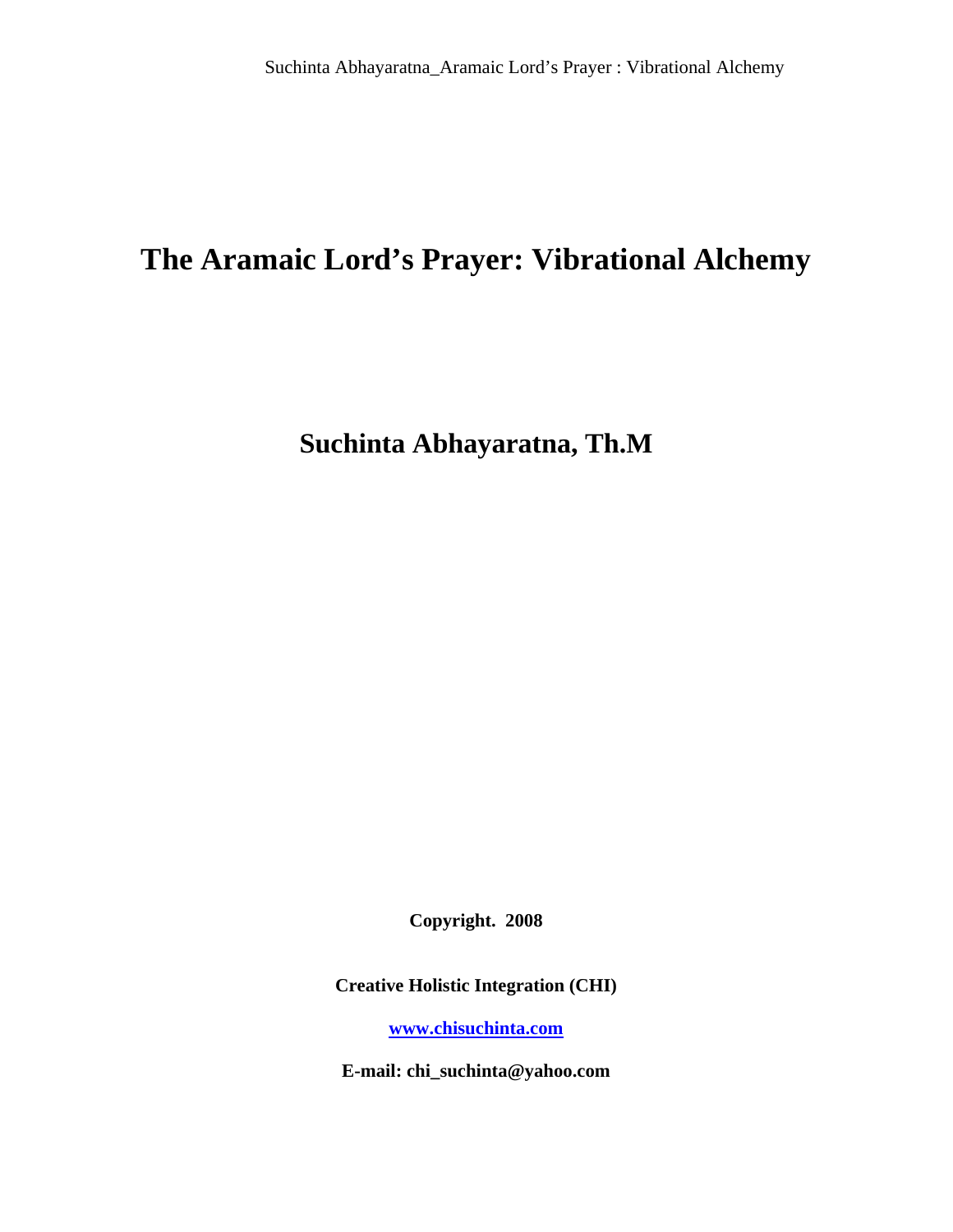# **The Aramaic Lord's Prayer: Vibrational Alchemy**

**Suchinta Abhayaratna, Th.M** 

**Copyright. 2008** 

**Creative Holistic Integration (CHI)** 

**[www.chisuchinta.com](http://www.chisuchinta.com/)**

**E-mail: chi\_suchinta@yahoo.com**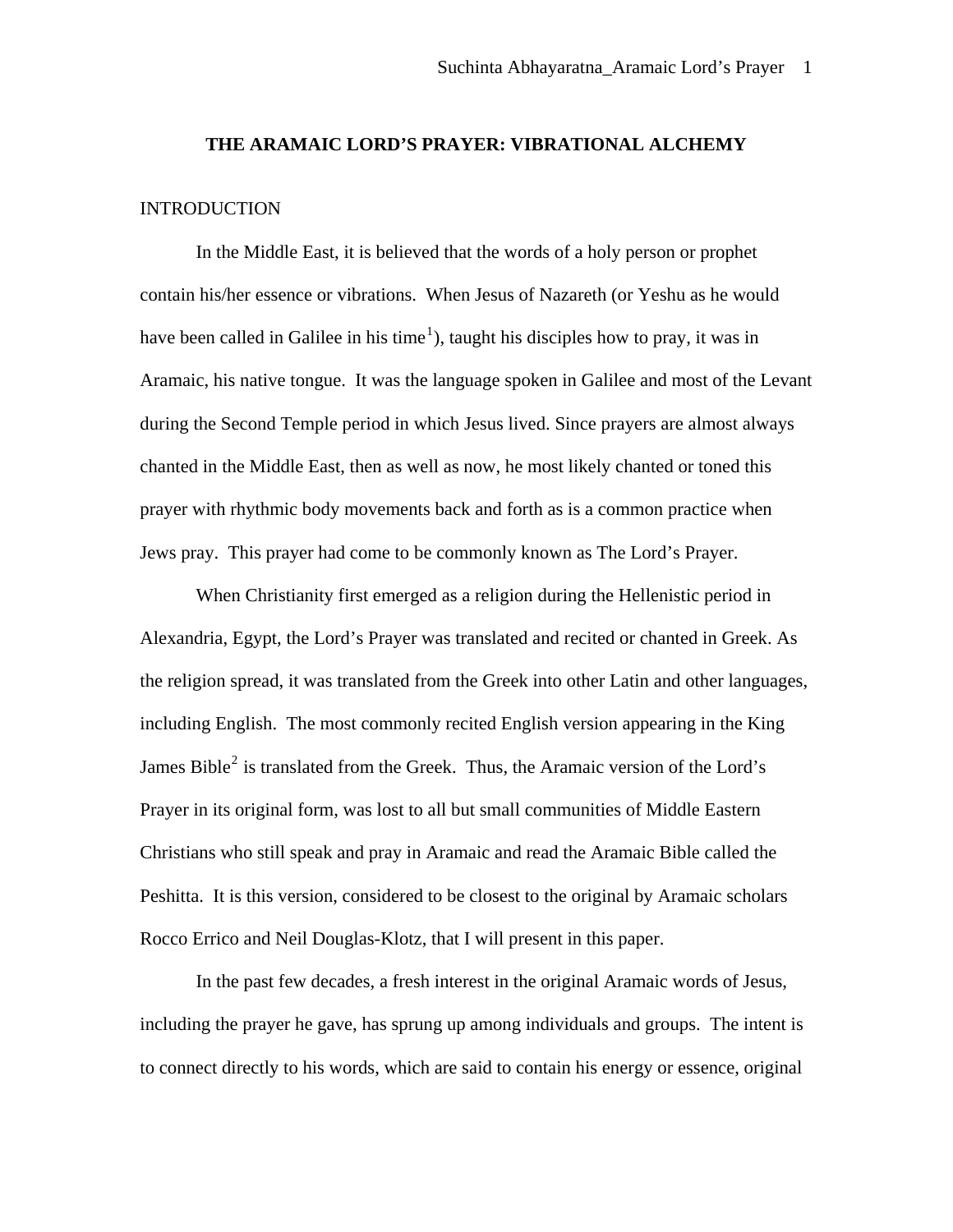#### **THE ARAMAIC LORD'S PRAYER: VIBRATIONAL ALCHEMY**

### **INTRODUCTION**

In the Middle East, it is believed that the words of a holy person or prophet contain his/her essence or vibrations. When Jesus of Nazareth (or Yeshu as he would have been called in Galilee in his time<sup>[1](#page-25-0)</sup>), taught his disciples how to pray, it was in Aramaic, his native tongue. It was the language spoken in Galilee and most of the Levant during the Second Temple period in which Jesus lived. Since prayers are almost always chanted in the Middle East, then as well as now, he most likely chanted or toned this prayer with rhythmic body movements back and forth as is a common practice when Jews pray. This prayer had come to be commonly known as The Lord's Prayer.

When Christianity first emerged as a religion during the Hellenistic period in Alexandria, Egypt, the Lord's Prayer was translated and recited or chanted in Greek. As the religion spread, it was translated from the Greek into other Latin and other languages, including English. The most commonly recited English version appearing in the King James Bible<sup>[2](#page-25-1)</sup> is translated from the Greek. Thus, the Aramaic version of the Lord's Prayer in its original form, was lost to all but small communities of Middle Eastern Christians who still speak and pray in Aramaic and read the Aramaic Bible called the Peshitta. It is this version, considered to be closest to the original by Aramaic scholars Rocco Errico and Neil Douglas-Klotz, that I will present in this paper.

In the past few decades, a fresh interest in the original Aramaic words of Jesus, including the prayer he gave, has sprung up among individuals and groups. The intent is to connect directly to his words, which are said to contain his energy or essence, original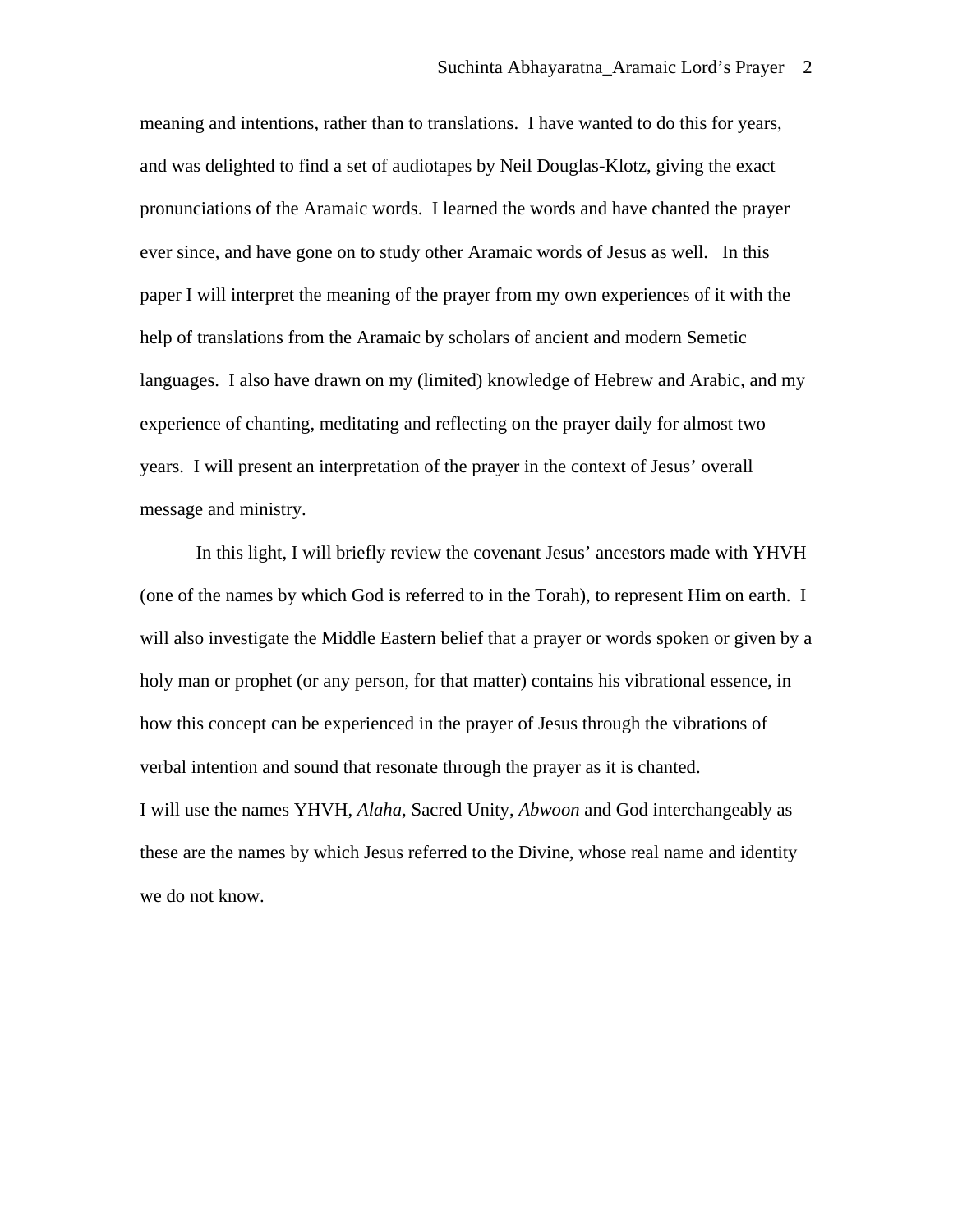meaning and intentions, rather than to translations. I have wanted to do this for years, and was delighted to find a set of audiotapes by Neil Douglas-Klotz, giving the exact pronunciations of the Aramaic words. I learned the words and have chanted the prayer ever since, and have gone on to study other Aramaic words of Jesus as well. In this paper I will interpret the meaning of the prayer from my own experiences of it with the help of translations from the Aramaic by scholars of ancient and modern Semetic languages. I also have drawn on my (limited) knowledge of Hebrew and Arabic, and my experience of chanting, meditating and reflecting on the prayer daily for almost two years. I will present an interpretation of the prayer in the context of Jesus' overall message and ministry.

In this light, I will briefly review the covenant Jesus' ancestors made with YHVH (one of the names by which God is referred to in the Torah), to represent Him on earth. I will also investigate the Middle Eastern belief that a prayer or words spoken or given by a holy man or prophet (or any person, for that matter) contains his vibrational essence, in how this concept can be experienced in the prayer of Jesus through the vibrations of verbal intention and sound that resonate through the prayer as it is chanted. I will use the names YHVH, *Alaha,* Sacred Unity, *Abwoon* and God interchangeably as these are the names by which Jesus referred to the Divine, whose real name and identity we do not know.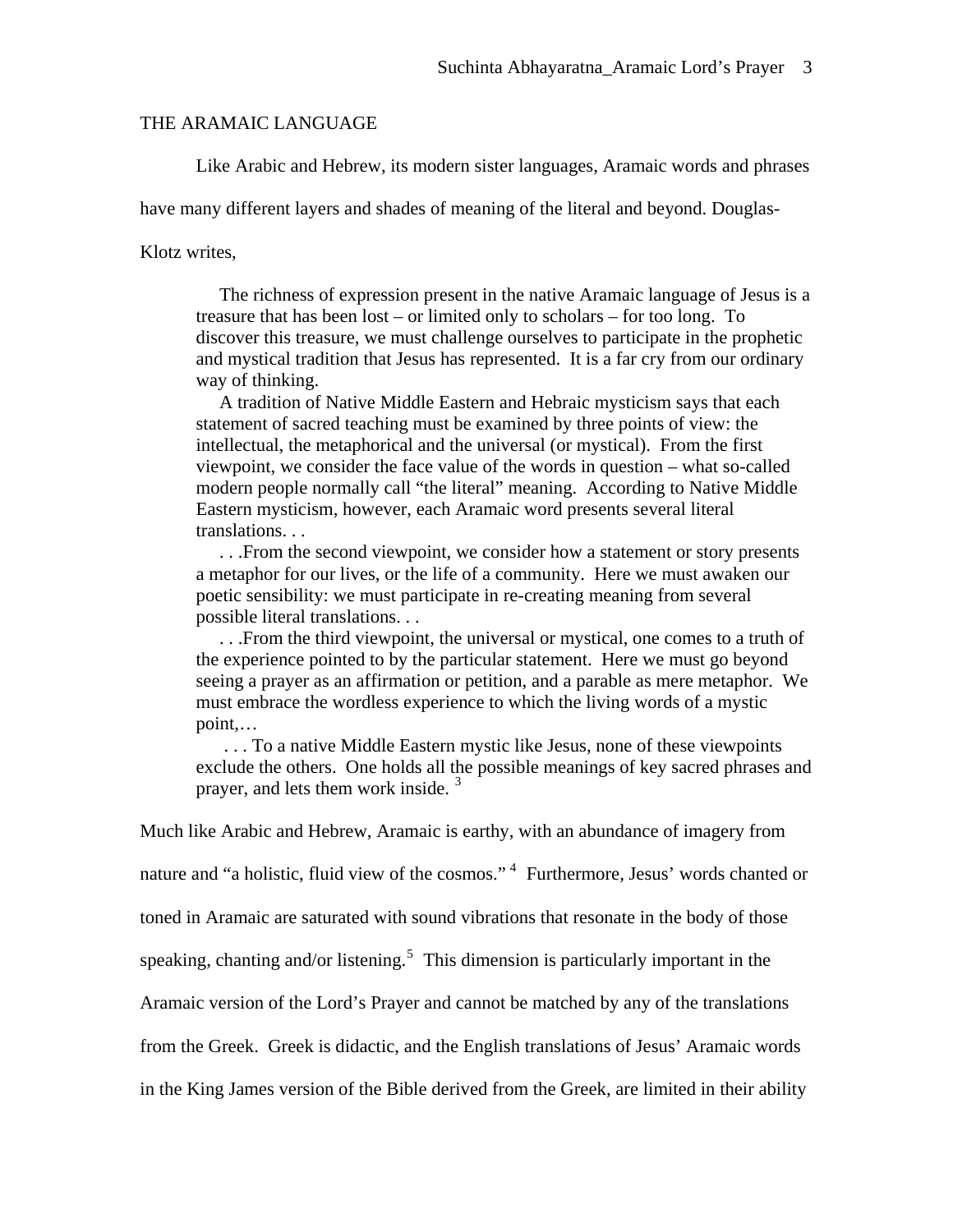#### THE ARAMAIC LANGUAGE

Like Arabic and Hebrew, its modern sister languages, Aramaic words and phrases

have many different layers and shades of meaning of the literal and beyond. Douglas-

Klotz writes,

 The richness of expression present in the native Aramaic language of Jesus is a treasure that has been lost – or limited only to scholars – for too long. To discover this treasure, we must challenge ourselves to participate in the prophetic and mystical tradition that Jesus has represented. It is a far cry from our ordinary way of thinking.

 A tradition of Native Middle Eastern and Hebraic mysticism says that each statement of sacred teaching must be examined by three points of view: the intellectual, the metaphorical and the universal (or mystical). From the first viewpoint, we consider the face value of the words in question – what so-called modern people normally call "the literal" meaning. According to Native Middle Eastern mysticism, however, each Aramaic word presents several literal translations. . .

 . . .From the second viewpoint, we consider how a statement or story presents a metaphor for our lives, or the life of a community. Here we must awaken our poetic sensibility: we must participate in re-creating meaning from several possible literal translations. . .

 . . .From the third viewpoint, the universal or mystical, one comes to a truth of the experience pointed to by the particular statement. Here we must go beyond seeing a prayer as an affirmation or petition, and a parable as mere metaphor. We must embrace the wordless experience to which the living words of a mystic point,…

 . . . To a native Middle Eastern mystic like Jesus, none of these viewpoints exclude the others. One holds all the possible meanings of key sacred phrases and prayer, and lets them work inside.<sup>[3](#page-25-1)</sup>

Much like Arabic and Hebrew, Aramaic is earthy, with an abundance of imagery from

nature and "a holistic, fluid view of the cosmos."<sup>[4](#page-25-1)</sup> Furthermore, Jesus' words chanted or

toned in Aramaic are saturated with sound vibrations that resonate in the body of those

speaking, chanting and/or listening.<sup>[5](#page-25-1)</sup> This dimension is particularly important in the

Aramaic version of the Lord's Prayer and cannot be matched by any of the translations

from the Greek. Greek is didactic, and the English translations of Jesus' Aramaic words

in the King James version of the Bible derived from the Greek, are limited in their ability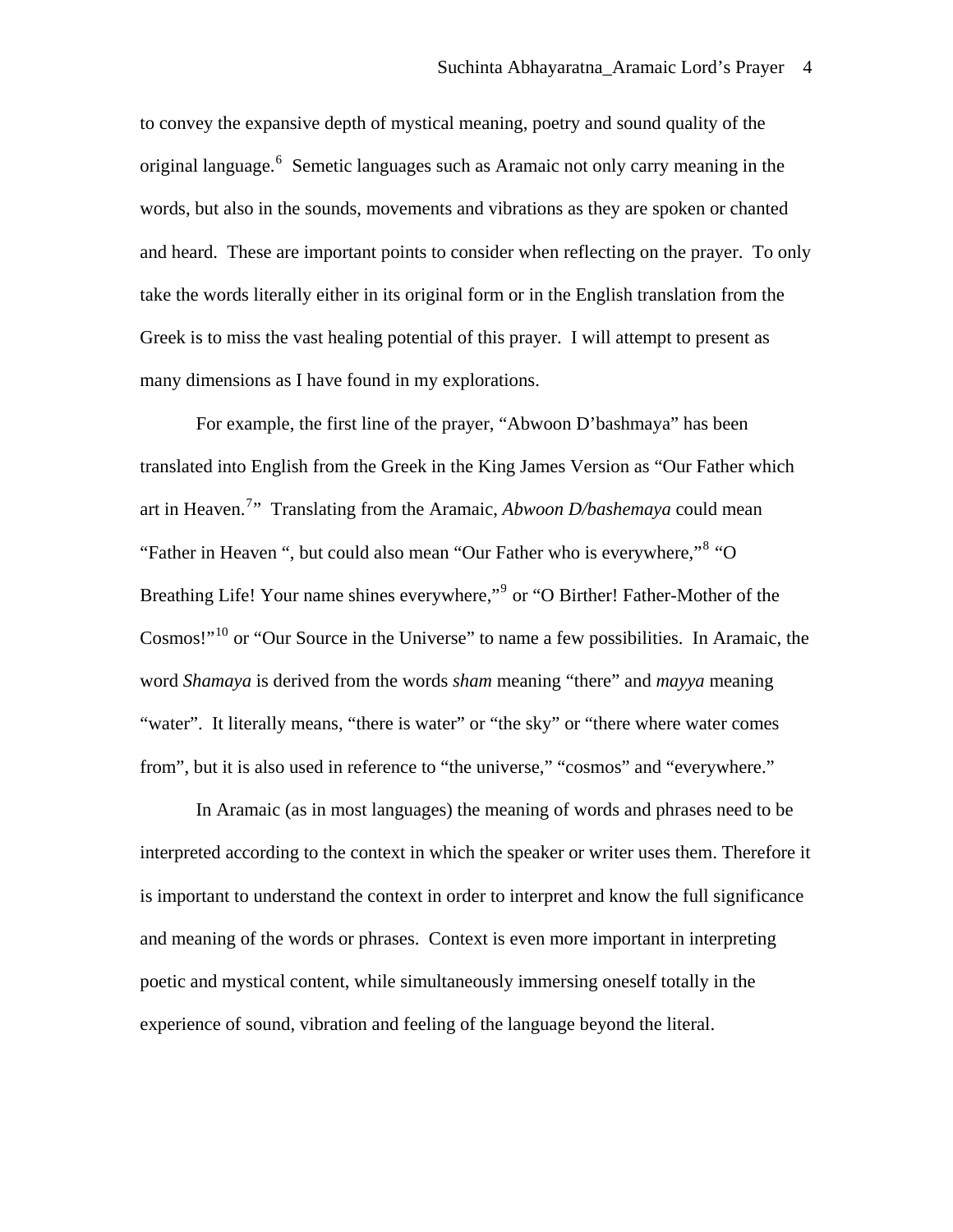to convey the expansive depth of mystical meaning, poetry and sound quality of the original language.<sup>[6](#page-25-1)</sup> Semetic languages such as Aramaic not only carry meaning in the words, but also in the sounds, movements and vibrations as they are spoken or chanted and heard. These are important points to consider when reflecting on the prayer. To only take the words literally either in its original form or in the English translation from the Greek is to miss the vast healing potential of this prayer. I will attempt to present as many dimensions as I have found in my explorations.

For example, the first line of the prayer, "Abwoon D'bashmaya" has been translated into English from the Greek in the King James Version as "Our Father which art in Heaven.[7](#page-25-1) " Translating from the Aramaic, *Abwoon D/bashemaya* could mean "Father in Heaven ", but could also mean "Our Father who is everywhere,"<sup>[8](#page-25-1)</sup> "O Breathing Life! Your name shines everywhere,"<sup>[9](#page-25-1)</sup> or "O Birther! Father-Mother of the Cosmos!"<sup>[10](#page-25-1)</sup> or "Our Source in the Universe" to name a few possibilities. In Aramaic, the word *Shamaya* is derived from the words *sham* meaning "there" and *mayya* meaning "water". It literally means, "there is water" or "the sky" or "there where water comes from", but it is also used in reference to "the universe," "cosmos" and "everywhere."

In Aramaic (as in most languages) the meaning of words and phrases need to be interpreted according to the context in which the speaker or writer uses them. Therefore it is important to understand the context in order to interpret and know the full significance and meaning of the words or phrases. Context is even more important in interpreting poetic and mystical content, while simultaneously immersing oneself totally in the experience of sound, vibration and feeling of the language beyond the literal.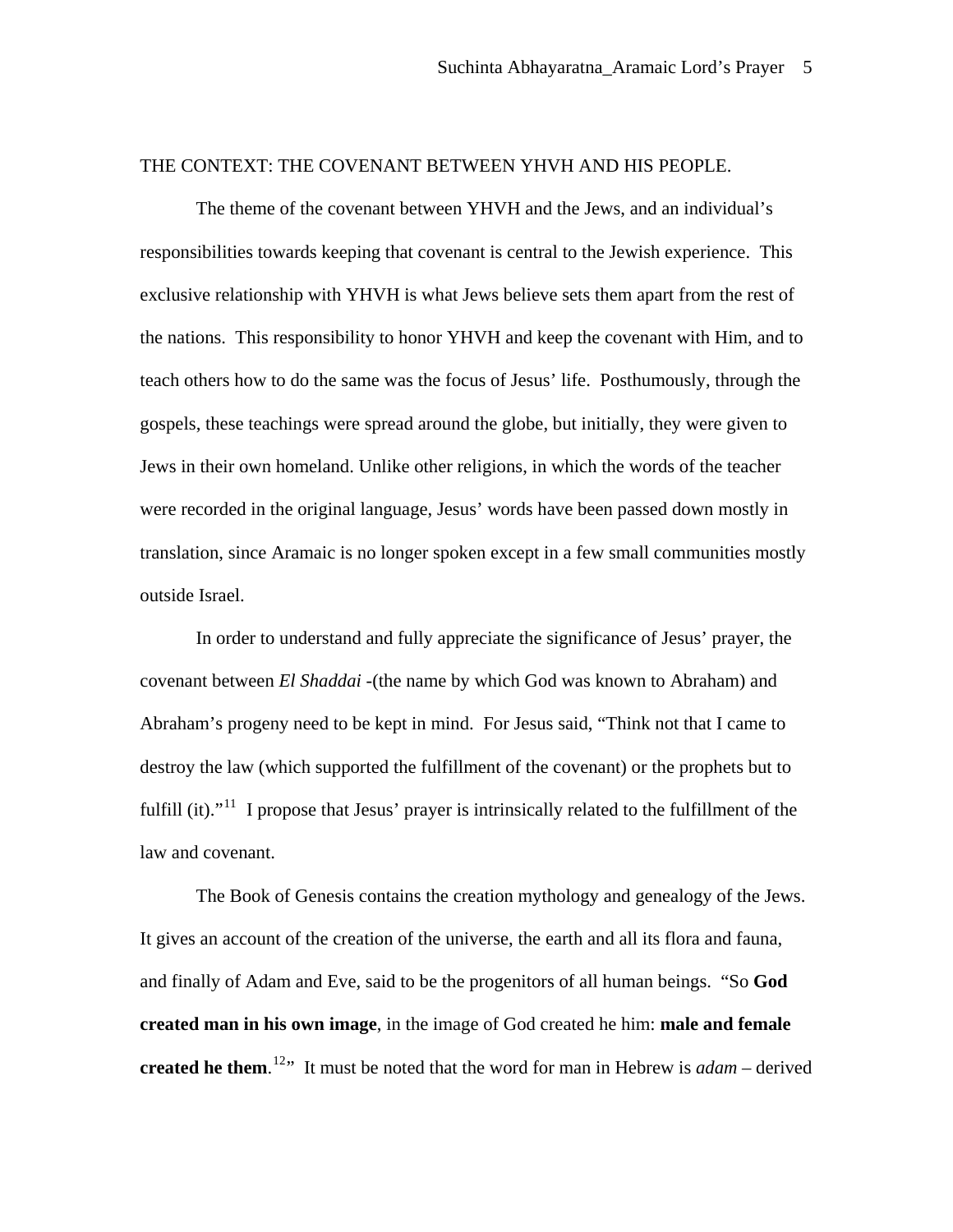## THE CONTEXT: THE COVENANT BETWEEN YHVH AND HIS PEOPLE.

The theme of the covenant between YHVH and the Jews, and an individual's responsibilities towards keeping that covenant is central to the Jewish experience. This exclusive relationship with YHVH is what Jews believe sets them apart from the rest of the nations. This responsibility to honor YHVH and keep the covenant with Him, and to teach others how to do the same was the focus of Jesus' life. Posthumously, through the gospels, these teachings were spread around the globe, but initially, they were given to Jews in their own homeland. Unlike other religions, in which the words of the teacher were recorded in the original language, Jesus' words have been passed down mostly in translation, since Aramaic is no longer spoken except in a few small communities mostly outside Israel.

In order to understand and fully appreciate the significance of Jesus' prayer, the covenant between *El Shaddai -*(the name by which God was known to Abraham) and Abraham's progeny need to be kept in mind. For Jesus said, "Think not that I came to destroy the law (which supported the fulfillment of the covenant) or the prophets but to fulfill (it)."<sup>[11](#page-25-1)</sup> I propose that Jesus' prayer is intrinsically related to the fulfillment of the law and covenant.

 The Book of Genesis contains the creation mythology and genealogy of the Jews. It gives an account of the creation of the universe, the earth and all its flora and fauna, and finally of Adam and Eve, said to be the progenitors of all human beings. "So **God created man in his own image**, in the image of God created he him: **male and female created he them**. [12](#page-25-1)" It must be noted that the word for man in Hebrew is *adam* – derived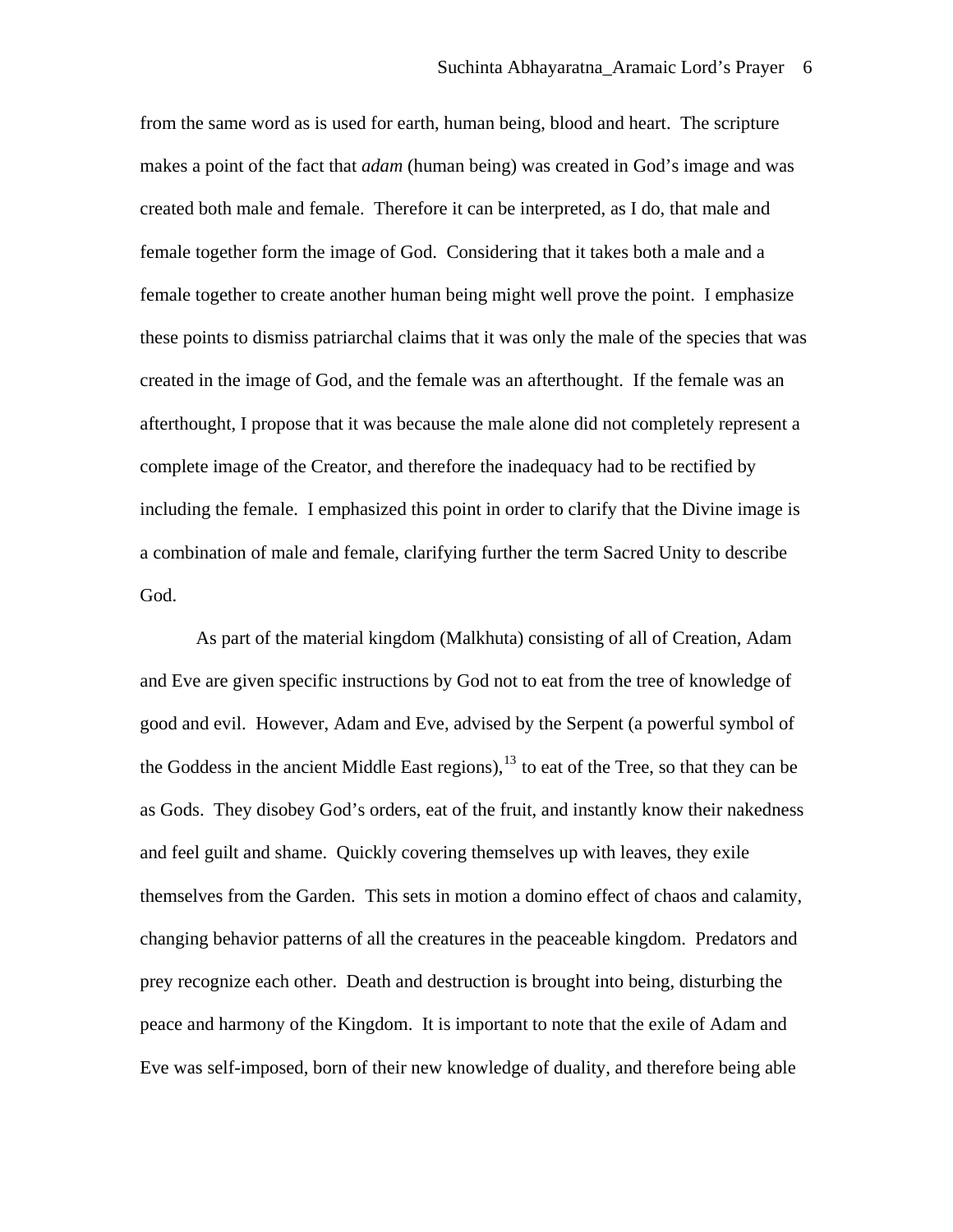from the same word as is used for earth, human being, blood and heart. The scripture makes a point of the fact that *adam* (human being) was created in God's image and was created both male and female. Therefore it can be interpreted, as I do, that male and female together form the image of God. Considering that it takes both a male and a female together to create another human being might well prove the point. I emphasize these points to dismiss patriarchal claims that it was only the male of the species that was created in the image of God, and the female was an afterthought. If the female was an afterthought, I propose that it was because the male alone did not completely represent a complete image of the Creator, and therefore the inadequacy had to be rectified by including the female. I emphasized this point in order to clarify that the Divine image is a combination of male and female, clarifying further the term Sacred Unity to describe God.

 As part of the material kingdom (Malkhuta) consisting of all of Creation, Adam and Eve are given specific instructions by God not to eat from the tree of knowledge of good and evil. However, Adam and Eve, advised by the Serpent (a powerful symbol of the Goddess in the ancient Middle East regions),  $13$  to eat of the Tree, so that they can be as Gods. They disobey God's orders, eat of the fruit, and instantly know their nakedness and feel guilt and shame. Quickly covering themselves up with leaves, they exile themselves from the Garden. This sets in motion a domino effect of chaos and calamity, changing behavior patterns of all the creatures in the peaceable kingdom. Predators and prey recognize each other. Death and destruction is brought into being, disturbing the peace and harmony of the Kingdom. It is important to note that the exile of Adam and Eve was self-imposed, born of their new knowledge of duality, and therefore being able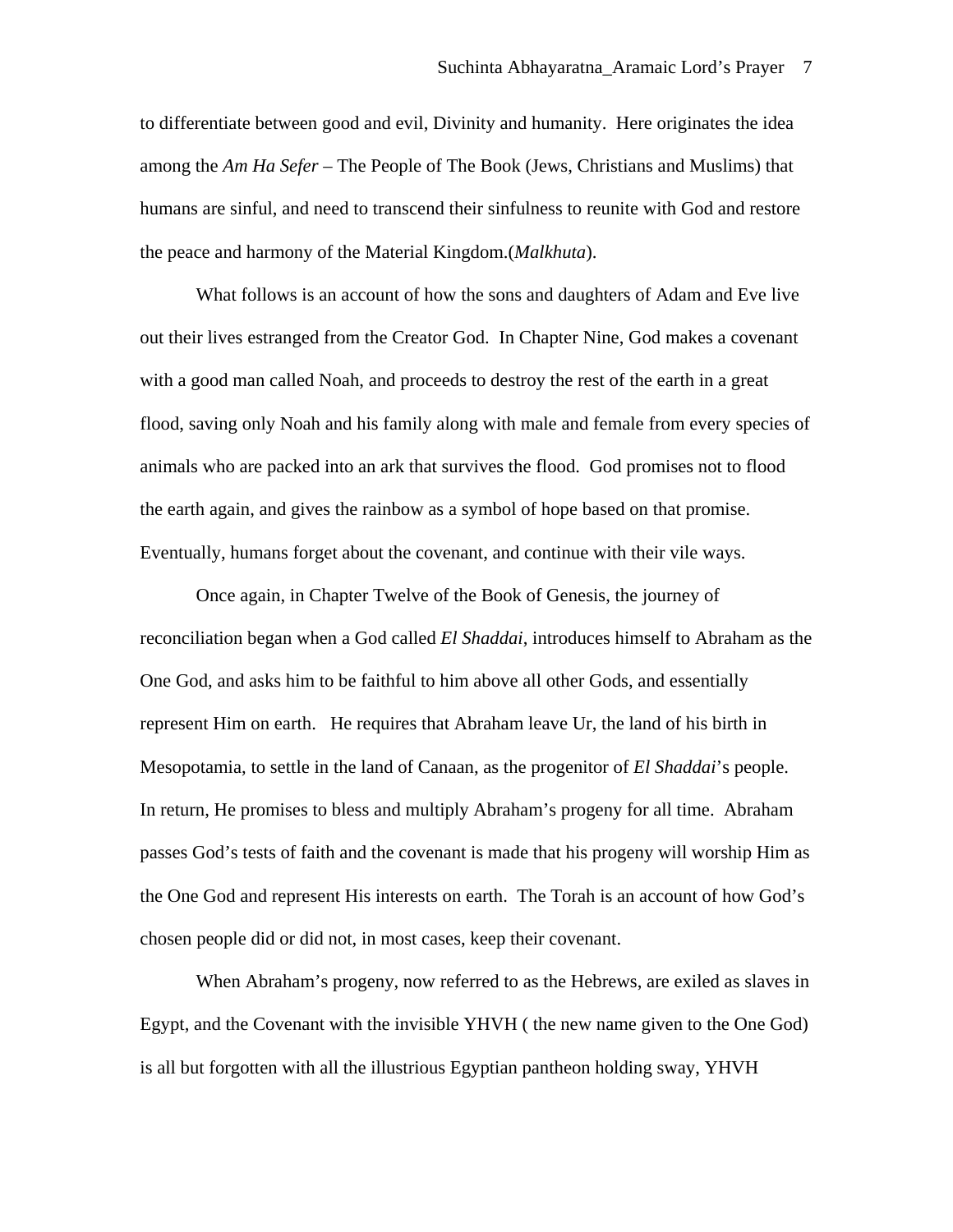to differentiate between good and evil, Divinity and humanity. Here originates the idea among the *Am Ha Sefer –* The People of The Book (Jews, Christians and Muslims) that humans are sinful, and need to transcend their sinfulness to reunite with God and restore the peace and harmony of the Material Kingdom.(*Malkhuta*).

What follows is an account of how the sons and daughters of Adam and Eve live out their lives estranged from the Creator God. In Chapter Nine, God makes a covenant with a good man called Noah, and proceeds to destroy the rest of the earth in a great flood, saving only Noah and his family along with male and female from every species of animals who are packed into an ark that survives the flood. God promises not to flood the earth again, and gives the rainbow as a symbol of hope based on that promise. Eventually, humans forget about the covenant, and continue with their vile ways.

Once again, in Chapter Twelve of the Book of Genesis, the journey of reconciliation began when a God called *El Shaddai*, introduces himself to Abraham as the One God, and asks him to be faithful to him above all other Gods, and essentially represent Him on earth. He requires that Abraham leave Ur, the land of his birth in Mesopotamia, to settle in the land of Canaan, as the progenitor of *El Shaddai*'s people. In return, He promises to bless and multiply Abraham's progeny for all time. Abraham passes God's tests of faith and the covenant is made that his progeny will worship Him as the One God and represent His interests on earth. The Torah is an account of how God's chosen people did or did not, in most cases, keep their covenant.

When Abraham's progeny, now referred to as the Hebrews, are exiled as slaves in Egypt, and the Covenant with the invisible YHVH ( the new name given to the One God) is all but forgotten with all the illustrious Egyptian pantheon holding sway, YHVH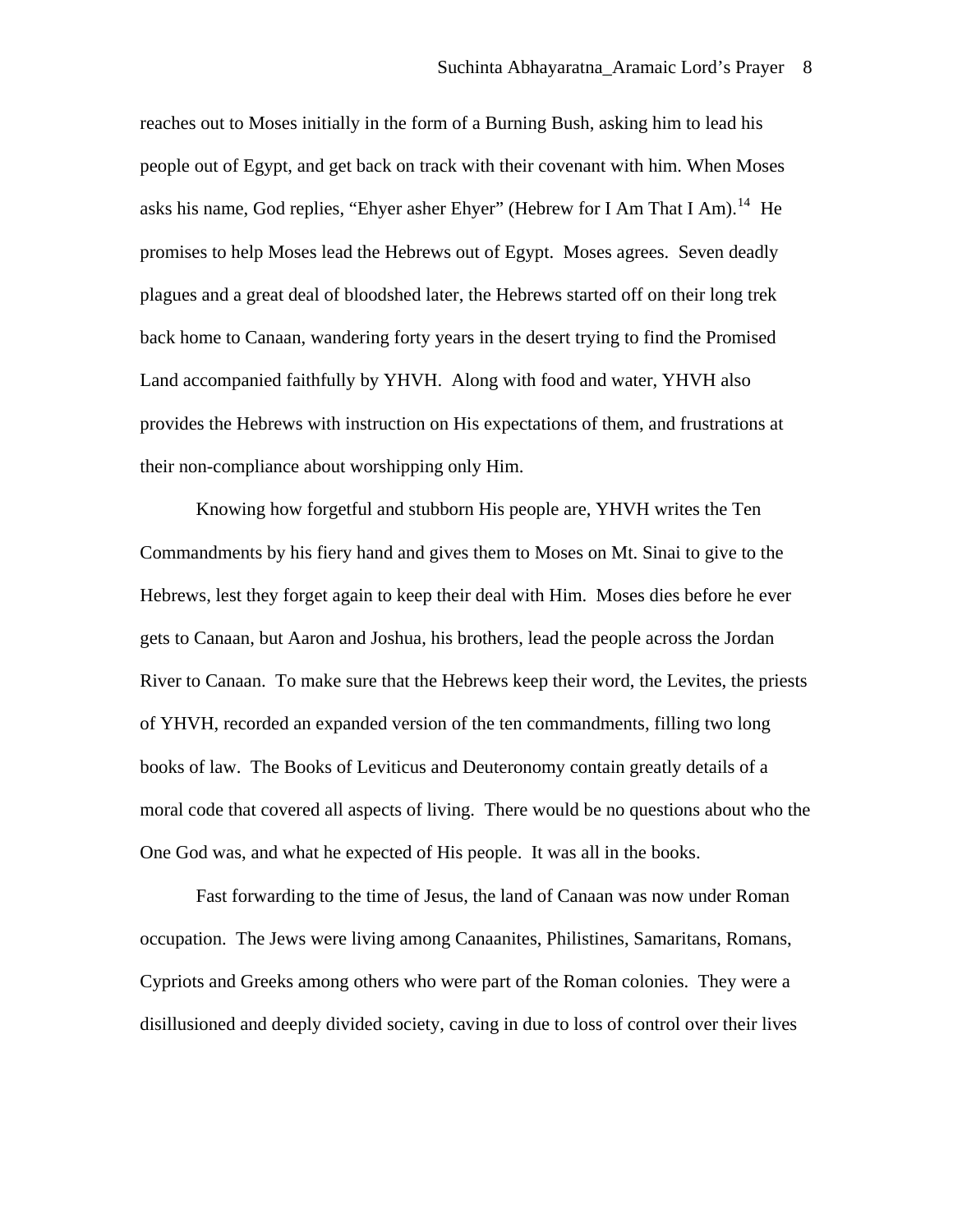reaches out to Moses initially in the form of a Burning Bush, asking him to lead his people out of Egypt, and get back on track with their covenant with him. When Moses asks his name, God replies, "Ehyer asher Ehyer" (Hebrew for I Am That I Am).<sup>[14](#page-25-1)</sup> He promises to help Moses lead the Hebrews out of Egypt. Moses agrees. Seven deadly plagues and a great deal of bloodshed later, the Hebrews started off on their long trek back home to Canaan, wandering forty years in the desert trying to find the Promised Land accompanied faithfully by YHVH. Along with food and water, YHVH also provides the Hebrews with instruction on His expectations of them, and frustrations at their non-compliance about worshipping only Him.

Knowing how forgetful and stubborn His people are, YHVH writes the Ten Commandments by his fiery hand and gives them to Moses on Mt. Sinai to give to the Hebrews, lest they forget again to keep their deal with Him. Moses dies before he ever gets to Canaan, but Aaron and Joshua, his brothers, lead the people across the Jordan River to Canaan. To make sure that the Hebrews keep their word, the Levites, the priests of YHVH, recorded an expanded version of the ten commandments, filling two long books of law. The Books of Leviticus and Deuteronomy contain greatly details of a moral code that covered all aspects of living. There would be no questions about who the One God was, and what he expected of His people. It was all in the books.

Fast forwarding to the time of Jesus, the land of Canaan was now under Roman occupation. The Jews were living among Canaanites, Philistines, Samaritans, Romans, Cypriots and Greeks among others who were part of the Roman colonies. They were a disillusioned and deeply divided society, caving in due to loss of control over their lives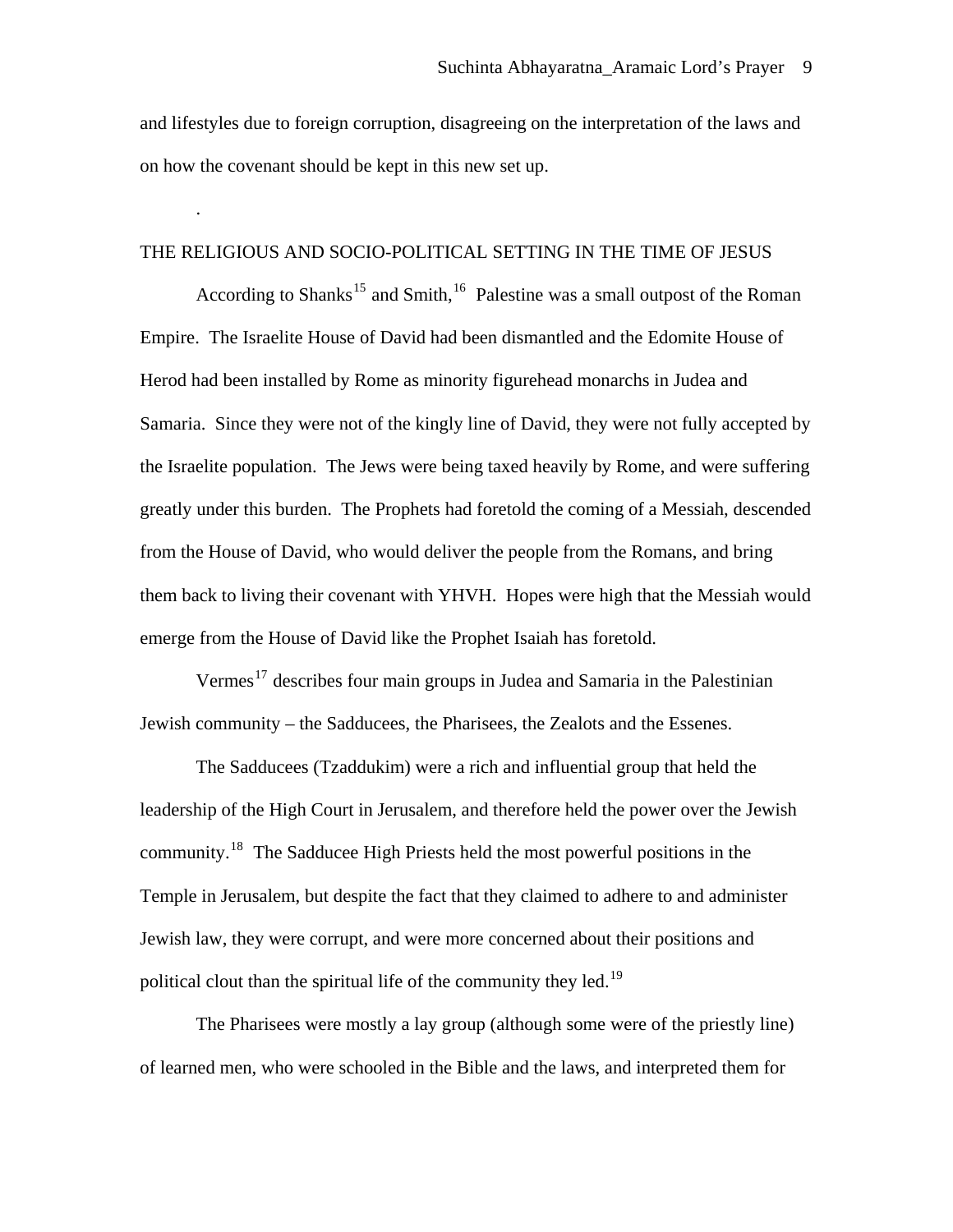and lifestyles due to foreign corruption, disagreeing on the interpretation of the laws and on how the covenant should be kept in this new set up.

#### THE RELIGIOUS AND SOCIO-POLITICAL SETTING IN THE TIME OF JESUS

.

According to Shanks<sup>[15](#page-25-1)</sup> and Smith,<sup>[16](#page-25-1)</sup> Palestine was a small outpost of the Roman Empire. The Israelite House of David had been dismantled and the Edomite House of Herod had been installed by Rome as minority figurehead monarchs in Judea and Samaria. Since they were not of the kingly line of David, they were not fully accepted by the Israelite population. The Jews were being taxed heavily by Rome, and were suffering greatly under this burden. The Prophets had foretold the coming of a Messiah, descended from the House of David, who would deliver the people from the Romans, and bring them back to living their covenant with YHVH. Hopes were high that the Messiah would emerge from the House of David like the Prophet Isaiah has foretold.

Vermes<sup>[17](#page-25-1)</sup> describes four main groups in Judea and Samaria in the Palestinian Jewish community – the Sadducees, the Pharisees, the Zealots and the Essenes.

The Sadducees (Tzaddukim) were a rich and influential group that held the leadership of the High Court in Jerusalem, and therefore held the power over the Jewish community.<sup>[18](#page-25-1)</sup> The Sadducee High Priests held the most powerful positions in the Temple in Jerusalem, but despite the fact that they claimed to adhere to and administer Jewish law, they were corrupt, and were more concerned about their positions and political clout than the spiritual life of the community they led.<sup>19</sup>

The Pharisees were mostly a lay group (although some were of the priestly line) of learned men, who were schooled in the Bible and the laws, and interpreted them for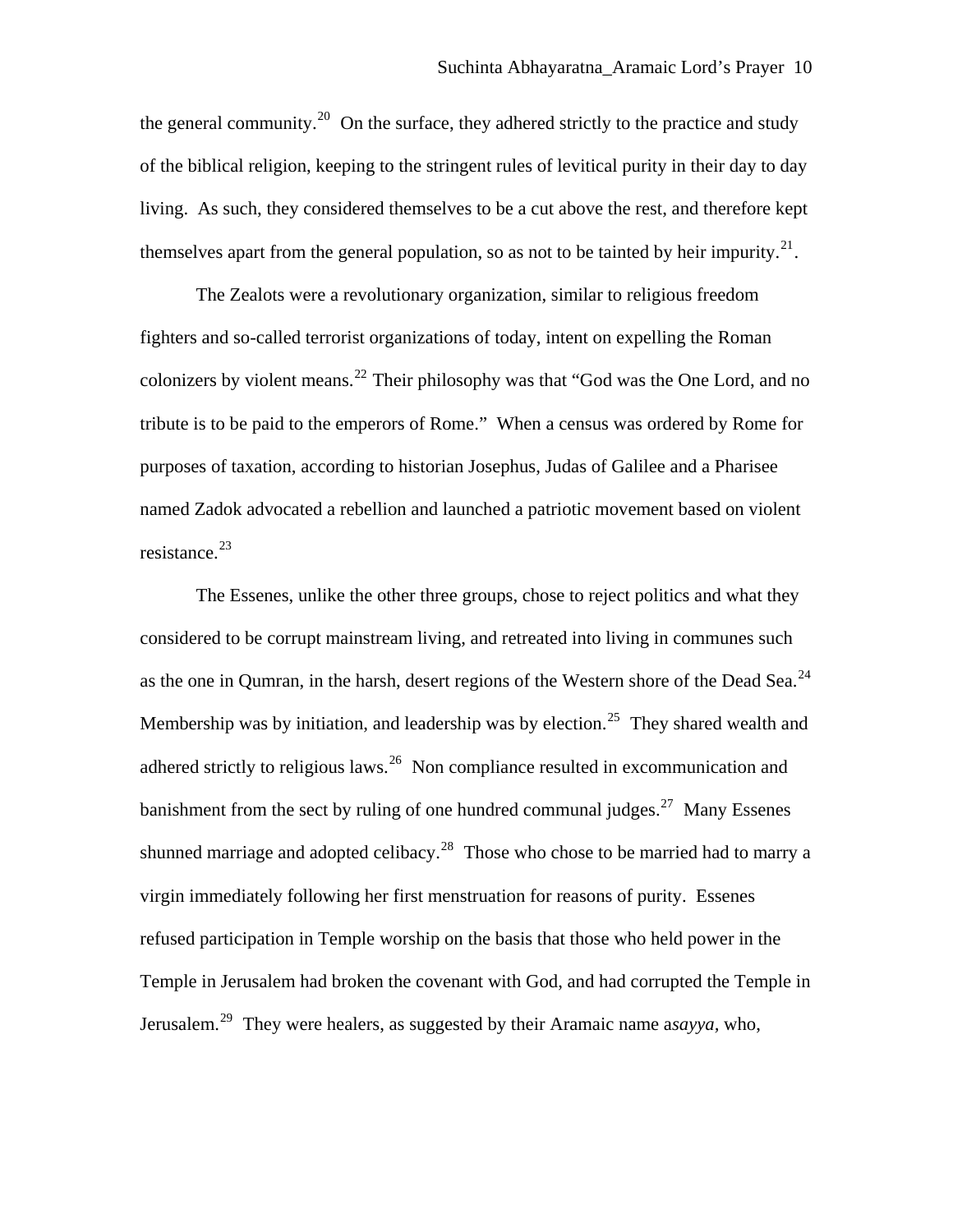the general community.<sup>[20](#page-25-1)</sup> On the surface, they adhered strictly to the practice and study of the biblical religion, keeping to the stringent rules of levitical purity in their day to day living. As such, they considered themselves to be a cut above the rest, and therefore kept themselves apart from the general population, so as not to be tainted by heir impurity.<sup>[21](#page-25-1)</sup>.

The Zealots were a revolutionary organization, similar to religious freedom fighters and so-called terrorist organizations of today, intent on expelling the Roman colonizers by violent means.<sup>[22](#page-26-0)</sup> Their philosophy was that "God was the One Lord, and no tribute is to be paid to the emperors of Rome." When a census was ordered by Rome for purposes of taxation, according to historian Josephus, Judas of Galilee and a Pharisee named Zadok advocated a rebellion and launched a patriotic movement based on violent resistance.<sup>[23](#page-26-0)</sup>

The Essenes, unlike the other three groups, chose to reject politics and what they considered to be corrupt mainstream living, and retreated into living in communes such as the one in Qumran, in the harsh, desert regions of the Western shore of the Dead Sea.<sup>[24](#page-26-0)</sup> Membership was by initiation, and leadership was by election.<sup>[25](#page-26-0)</sup> They shared wealth and adhered strictly to religious laws.<sup>[26](#page-26-0)</sup> Non compliance resulted in excommunication and banishment from the sect by ruling of one hundred communal judges.<sup>[27](#page-26-0)</sup> Many Essenes shunned marriage and adopted celibacy.<sup>[28](#page-26-0)</sup> Those who chose to be married had to marry a virgin immediately following her first menstruation for reasons of purity. Essenes refused participation in Temple worship on the basis that those who held power in the Temple in Jerusalem had broken the covenant with God, and had corrupted the Temple in Jerusalem.[29](#page-26-0) They were healers, as suggested by their Aramaic name a*sayya,* who,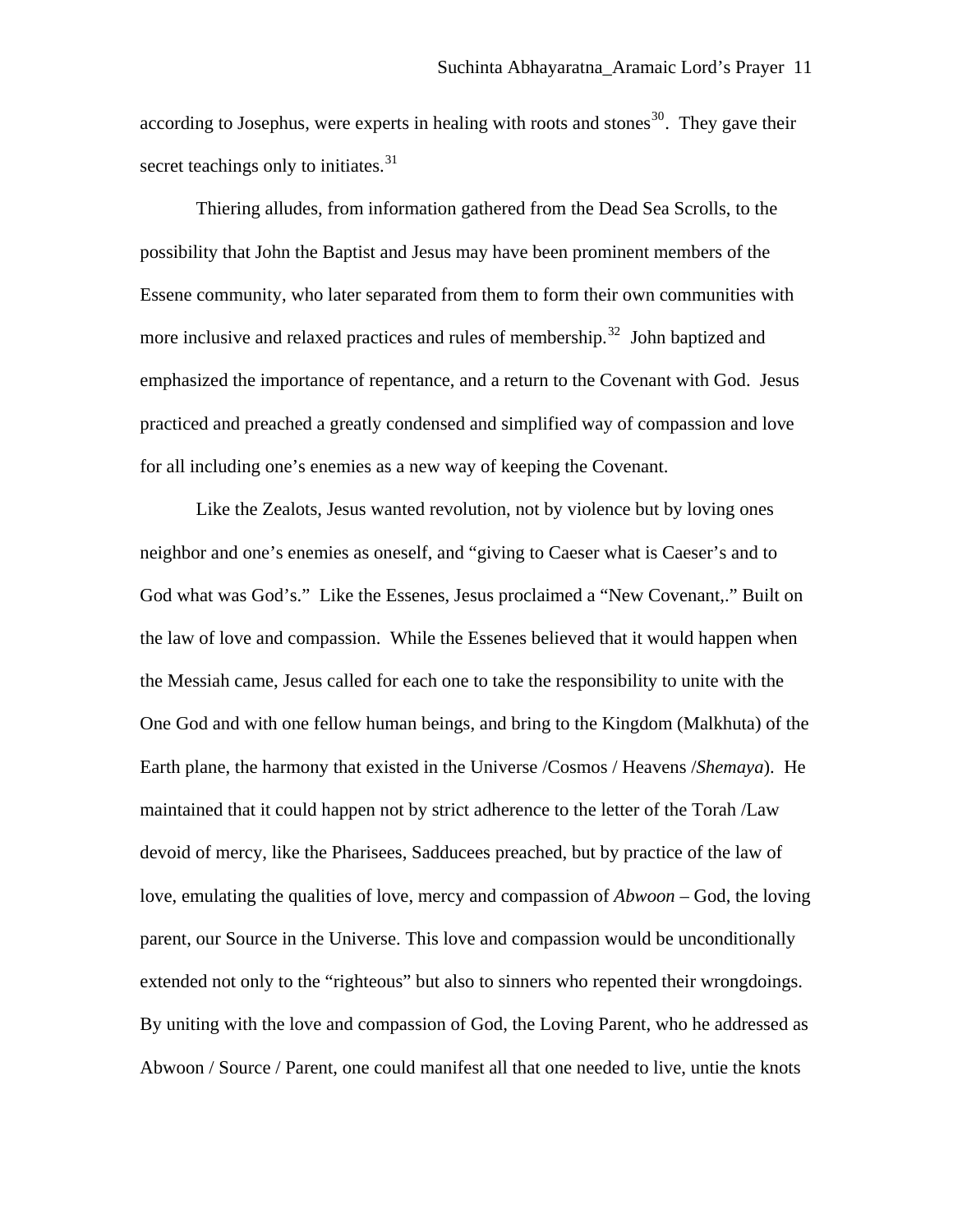according to Josephus, were experts in healing with roots and stones<sup>[30](#page-26-0)</sup>. They gave their secret teachings only to initiates.<sup>[31](#page-26-0)</sup>

Thiering alludes, from information gathered from the Dead Sea Scrolls, to the possibility that John the Baptist and Jesus may have been prominent members of the Essene community, who later separated from them to form their own communities with more inclusive and relaxed practices and rules of membership.<sup>[32](#page-26-0)</sup> John baptized and emphasized the importance of repentance, and a return to the Covenant with God. Jesus practiced and preached a greatly condensed and simplified way of compassion and love for all including one's enemies as a new way of keeping the Covenant.

Like the Zealots, Jesus wanted revolution, not by violence but by loving ones neighbor and one's enemies as oneself, and "giving to Caeser what is Caeser's and to God what was God's." Like the Essenes, Jesus proclaimed a "New Covenant,." Built on the law of love and compassion. While the Essenes believed that it would happen when the Messiah came, Jesus called for each one to take the responsibility to unite with the One God and with one fellow human beings, and bring to the Kingdom (Malkhuta) of the Earth plane, the harmony that existed in the Universe /Cosmos / Heavens /*Shemaya*). He maintained that it could happen not by strict adherence to the letter of the Torah /Law devoid of mercy, like the Pharisees, Sadducees preached, but by practice of the law of love, emulating the qualities of love, mercy and compassion of *Abwoon –* God, the loving parent, our Source in the Universe. This love and compassion would be unconditionally extended not only to the "righteous" but also to sinners who repented their wrongdoings. By uniting with the love and compassion of God, the Loving Parent, who he addressed as Abwoon / Source / Parent, one could manifest all that one needed to live, untie the knots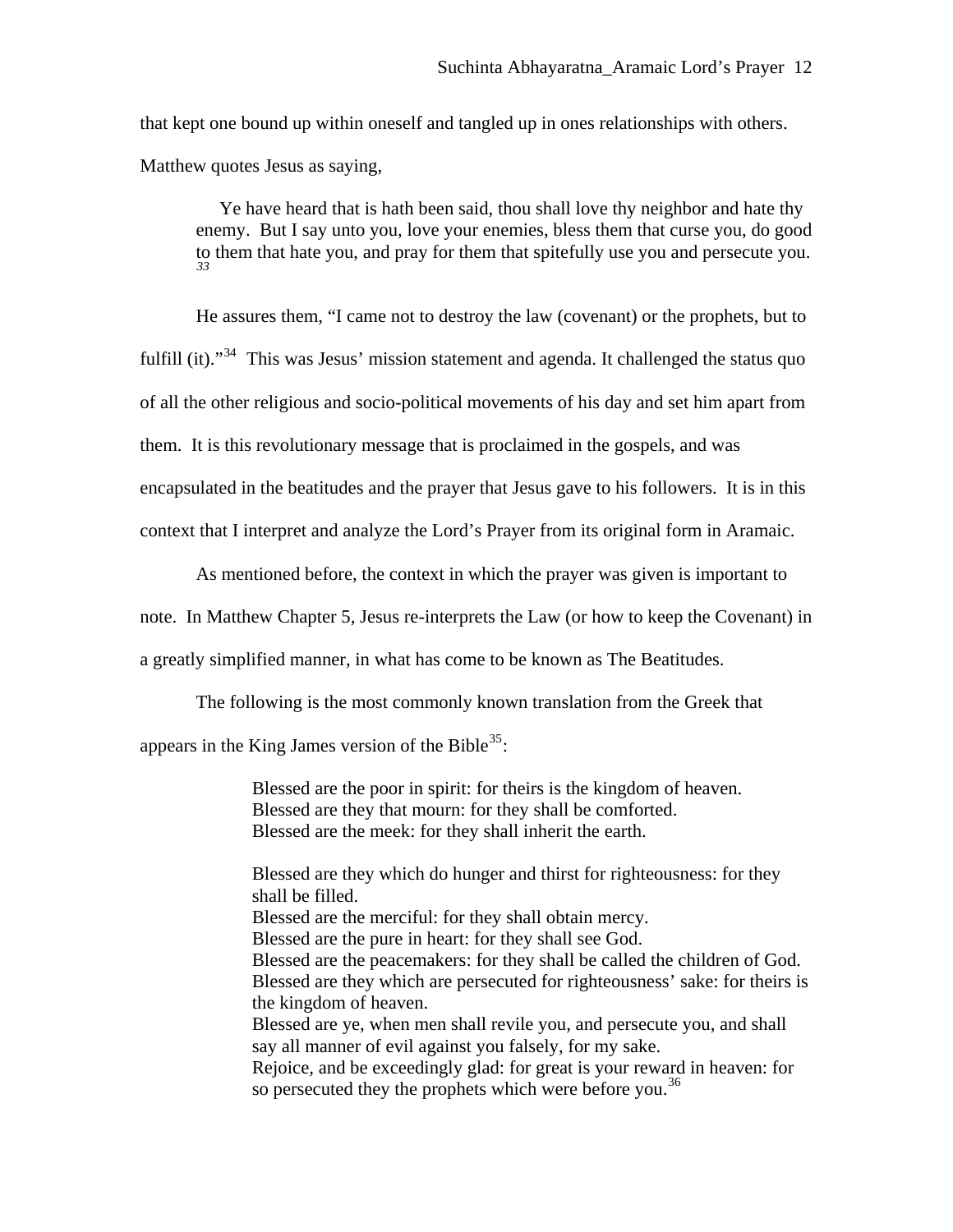that kept one bound up within oneself and tangled up in ones relationships with others. Matthew quotes Jesus as saying,

 Ye have heard that is hath been said, thou shall love thy neighbor and hate thy enemy. But I say unto you, love your enemies, bless them that curse you, do good to them that hate you, and pray for them that spitefully use you and persecute you. *[33](#page-26-0)*

He assures them, "I came not to destroy the law (covenant) or the prophets, but to

fulfill (it)."<sup>[34](#page-26-0)</sup> This was Jesus' mission statement and agenda. It challenged the status quo

of all the other religious and socio-political movements of his day and set him apart from

them. It is this revolutionary message that is proclaimed in the gospels, and was

encapsulated in the beatitudes and the prayer that Jesus gave to his followers. It is in this

context that I interpret and analyze the Lord's Prayer from its original form in Aramaic.

As mentioned before, the context in which the prayer was given is important to note. In Matthew Chapter 5, Jesus re-interprets the Law (or how to keep the Covenant) in

a greatly simplified manner, in what has come to be known as The Beatitudes.

The following is the most commonly known translation from the Greek that

appears in the King James version of the Bible<sup>[35](#page-26-0)</sup>:

Blessed are the poor in spirit: for theirs is the kingdom of heaven. Blessed are they that mourn: for they shall be comforted. Blessed are the meek: for they shall inherit the earth.

Blessed are they which do hunger and thirst for righteousness: for they shall be filled. Blessed are the merciful: for they shall obtain mercy. Blessed are the pure in heart: for they shall see God. Blessed are the peacemakers: for they shall be called the children of God. Blessed are they which are persecuted for righteousness' sake: for theirs is the kingdom of heaven. Blessed are ye, when men shall revile you, and persecute you, and shall say all manner of evil against you falsely, for my sake. Rejoice, and be exceedingly glad: for great is your reward in heaven: for so persecuted they the prophets which were before you.<sup>[36](#page-26-0)</sup>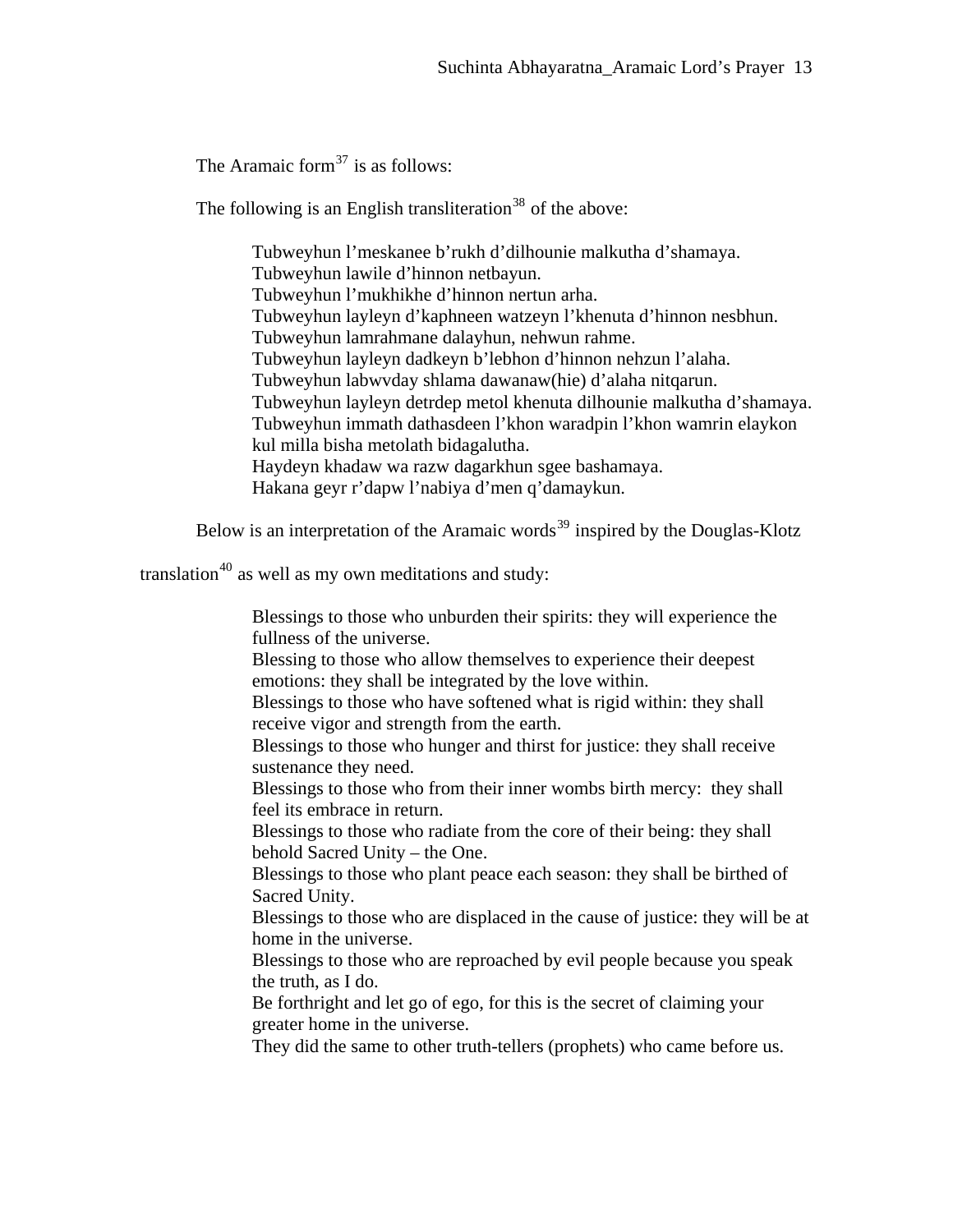The Aramaic form<sup>[37](#page-26-0)</sup> is as follows:

The following is an English transliteration<sup>[38](#page-26-0)</sup> of the above:

Tubweyhun l'meskanee b'rukh d'dilhounie malkutha d'shamaya. Tubweyhun lawile d'hinnon netbayun. Tubweyhun l'mukhikhe d'hinnon nertun arha. Tubweyhun layleyn d'kaphneen watzeyn l'khenuta d'hinnon nesbhun. Tubweyhun lamrahmane dalayhun, nehwun rahme. Tubweyhun layleyn dadkeyn b'lebhon d'hinnon nehzun l'alaha. Tubweyhun labwvday shlama dawanaw(hie) d'alaha nitqarun. Tubweyhun layleyn detrdep metol khenuta dilhounie malkutha d'shamaya. Tubweyhun immath dathasdeen l'khon waradpin l'khon wamrin elaykon kul milla bisha metolath bidagalutha. Haydeyn khadaw wa razw dagarkhun sgee bashamaya. Hakana geyr r'dapw l'nabiya d'men q'damaykun.

Below is an interpretation of the Aramaic words<sup>[39](#page-26-0)</sup> inspired by the Douglas-Klotz

translation<sup>[40](#page-26-0)</sup> as well as my own meditations and study:

Blessings to those who unburden their spirits: they will experience the fullness of the universe. Blessing to those who allow themselves to experience their deepest emotions: they shall be integrated by the love within. Blessings to those who have softened what is rigid within: they shall receive vigor and strength from the earth. Blessings to those who hunger and thirst for justice: they shall receive sustenance they need. Blessings to those who from their inner wombs birth mercy: they shall feel its embrace in return. Blessings to those who radiate from the core of their being: they shall behold Sacred Unity – the One. Blessings to those who plant peace each season: they shall be birthed of Sacred Unity. Blessings to those who are displaced in the cause of justice: they will be at home in the universe. Blessings to those who are reproached by evil people because you speak the truth, as I do. Be forthright and let go of ego, for this is the secret of claiming your greater home in the universe. They did the same to other truth-tellers (prophets) who came before us.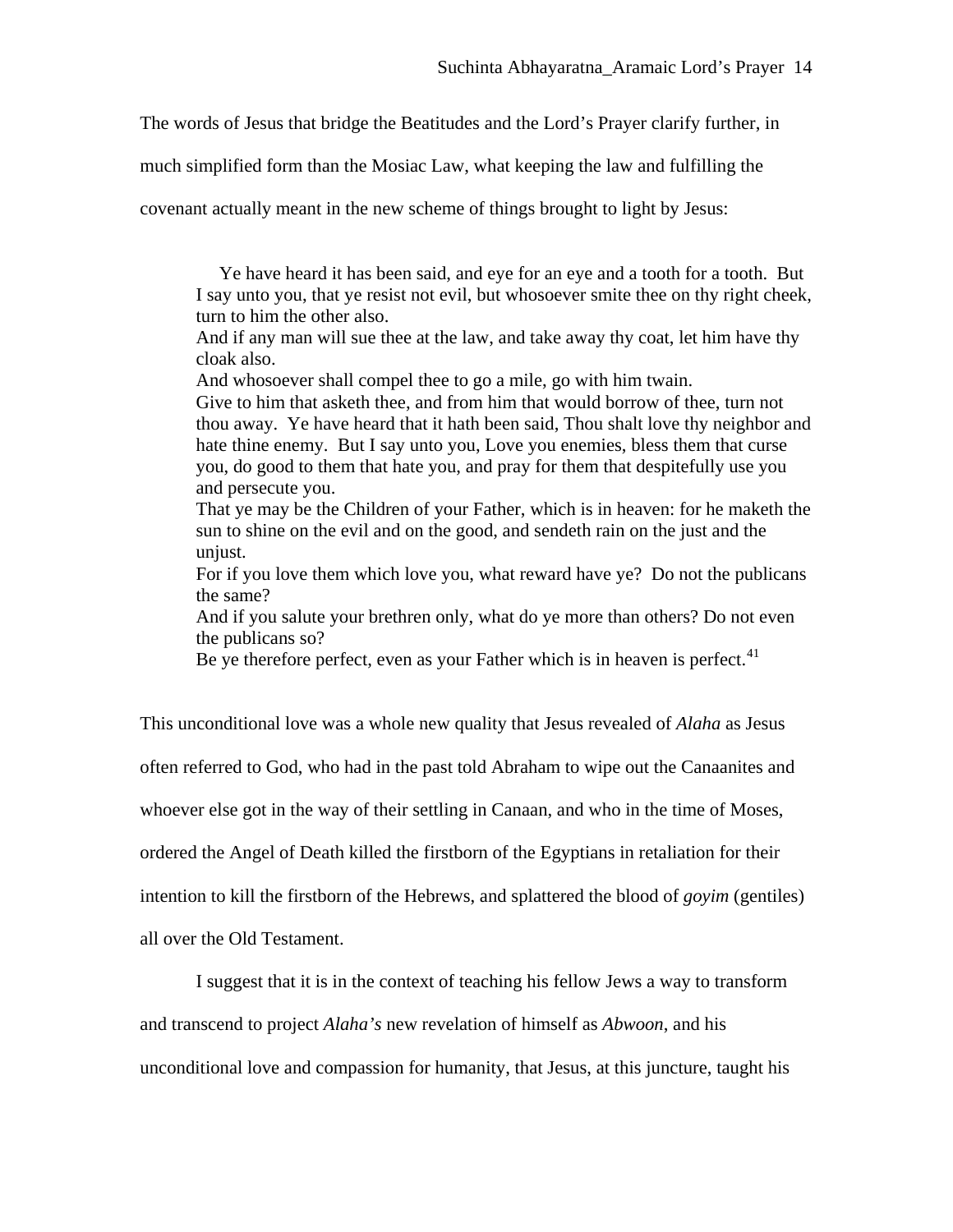The words of Jesus that bridge the Beatitudes and the Lord's Prayer clarify further, in

much simplified form than the Mosiac Law, what keeping the law and fulfilling the

covenant actually meant in the new scheme of things brought to light by Jesus:

 Ye have heard it has been said, and eye for an eye and a tooth for a tooth. But I say unto you, that ye resist not evil, but whosoever smite thee on thy right cheek, turn to him the other also.

And if any man will sue thee at the law, and take away thy coat, let him have thy cloak also.

And whosoever shall compel thee to go a mile, go with him twain. Give to him that asketh thee, and from him that would borrow of thee, turn not thou away. Ye have heard that it hath been said, Thou shalt love thy neighbor and hate thine enemy. But I say unto you, Love you enemies, bless them that curse you, do good to them that hate you, and pray for them that despitefully use you and persecute you.

That ye may be the Children of your Father, which is in heaven: for he maketh the sun to shine on the evil and on the good, and sendeth rain on the just and the unjust.

For if you love them which love you, what reward have ye? Do not the publicans the same?

And if you salute your brethren only, what do ye more than others? Do not even the publicans so?

Be ye therefore perfect, even as your Father which is in heaven is perfect.<sup>[41](#page-26-0)</sup>

This unconditional love was a whole new quality that Jesus revealed of *Alaha* as Jesus often referred to God, who had in the past told Abraham to wipe out the Canaanites and whoever else got in the way of their settling in Canaan, and who in the time of Moses, ordered the Angel of Death killed the firstborn of the Egyptians in retaliation for their intention to kill the firstborn of the Hebrews, and splattered the blood of *goyim* (gentiles) all over the Old Testament.

I suggest that it is in the context of teaching his fellow Jews a way to transform and transcend to project *Alaha's* new revelation of himself as *Abwoon*, and his unconditional love and compassion for humanity, that Jesus, at this juncture, taught his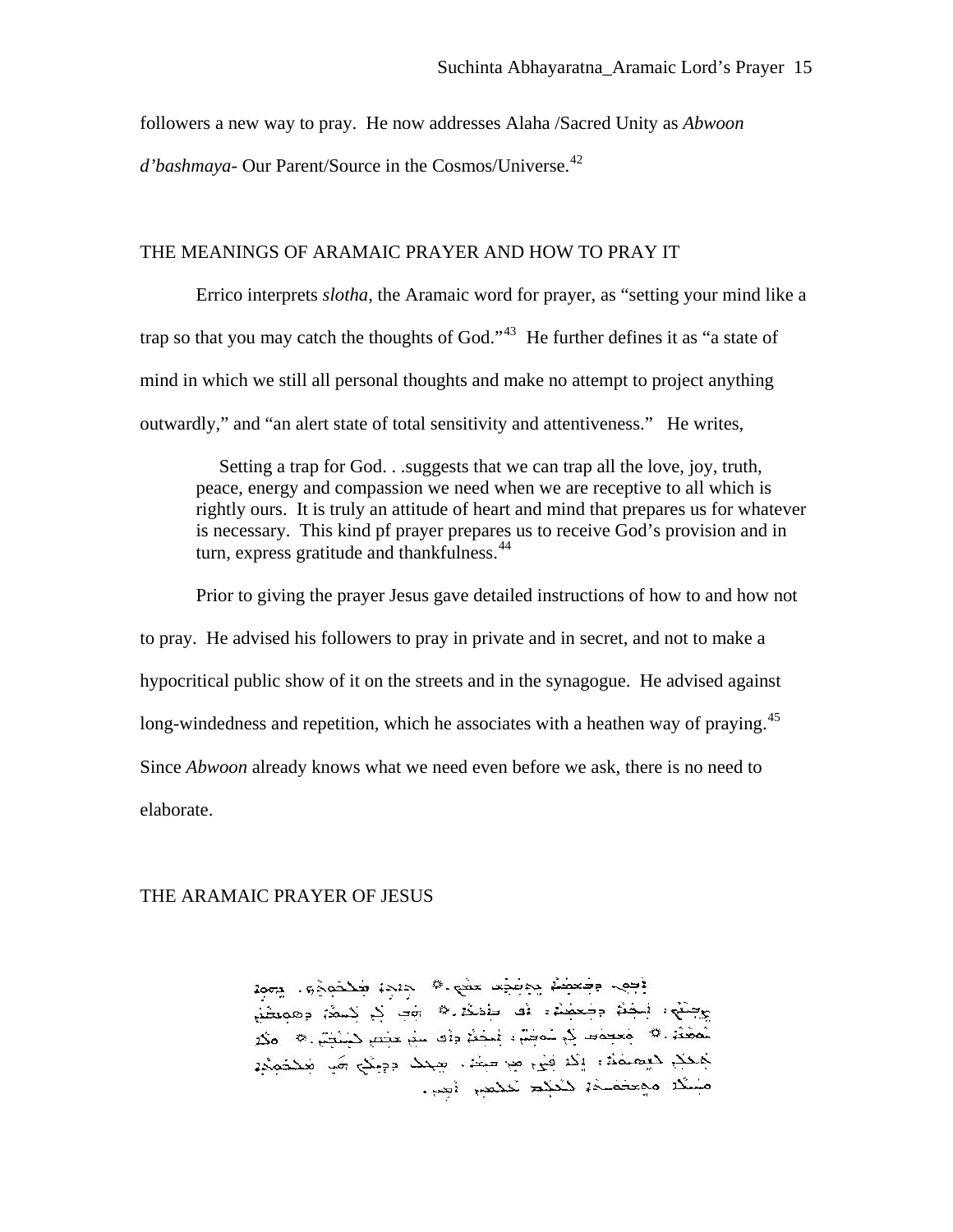followers a new way to pray. He now addresses Alaha /Sacred Unity as *Abwoon* 

*d'bashmaya*- Our Parent/Source in the Cosmos/Universe.<sup>[42](#page-26-0)</sup>

## THE MEANINGS OF ARAMAIC PRAYER AND HOW TO PRAY IT

Errico interprets *slotha,* the Aramaic word for prayer, as "setting your mind like a trap so that you may catch the thoughts of God."<sup>[43](#page-26-0)</sup> He further defines it as "a state of mind in which we still all personal thoughts and make no attempt to project anything outwardly," and "an alert state of total sensitivity and attentiveness." He writes,

 Setting a trap for God. . .suggests that we can trap all the love, joy, truth, peace, energy and compassion we need when we are receptive to all which is rightly ours. It is truly an attitude of heart and mind that prepares us for whatever is necessary. This kind pf prayer prepares us to receive God's provision and in turn, express gratitude and thankfulness.<sup>[44](#page-26-0)</sup>

 Prior to giving the prayer Jesus gave detailed instructions of how to and how not to pray. He advised his followers to pray in private and in secret, and not to make a hypocritical public show of it on the streets and in the synagogue. He advised against long-windedness and repetition, which he associates with a heathen way of praying.<sup>[45](#page-26-0)</sup> Since *Abwoon* already knows what we need even before we ask, there is no need to elaborate.

#### THE ARAMAIC PRAYER OF JESUS

وَجِهِـ وَجَعِظُمُ يَجْتِبُو عَضَ عَيْهِ ﴾ ﴿ وَيَجِدُ فَكَمَمَوْهِ . يَعْمِدُ<br>يَجِنُوْ : إِيضُمُّ وَجَعِظُمُ : أَقَدَّ وَأَدَكُمْ \* أَبِي لِمَ لِكُمْ يَعْمِدُونَ وَعَمِيضُمْ<br>يُمَعُّمُ \* وَعَصِمَاتِ لِمَ يُمَاجِمُ : إِيضِم كَاحَكَ دَيْهِمُهُمْ: إِنَّكَ فَيْ مِنْ حَيْثَةٍ، صَحْدُ دَوْيِنَكِ مَنْ صَحْحَمَةٌ مسك مجعف دككة تحكم نحمي أصِّ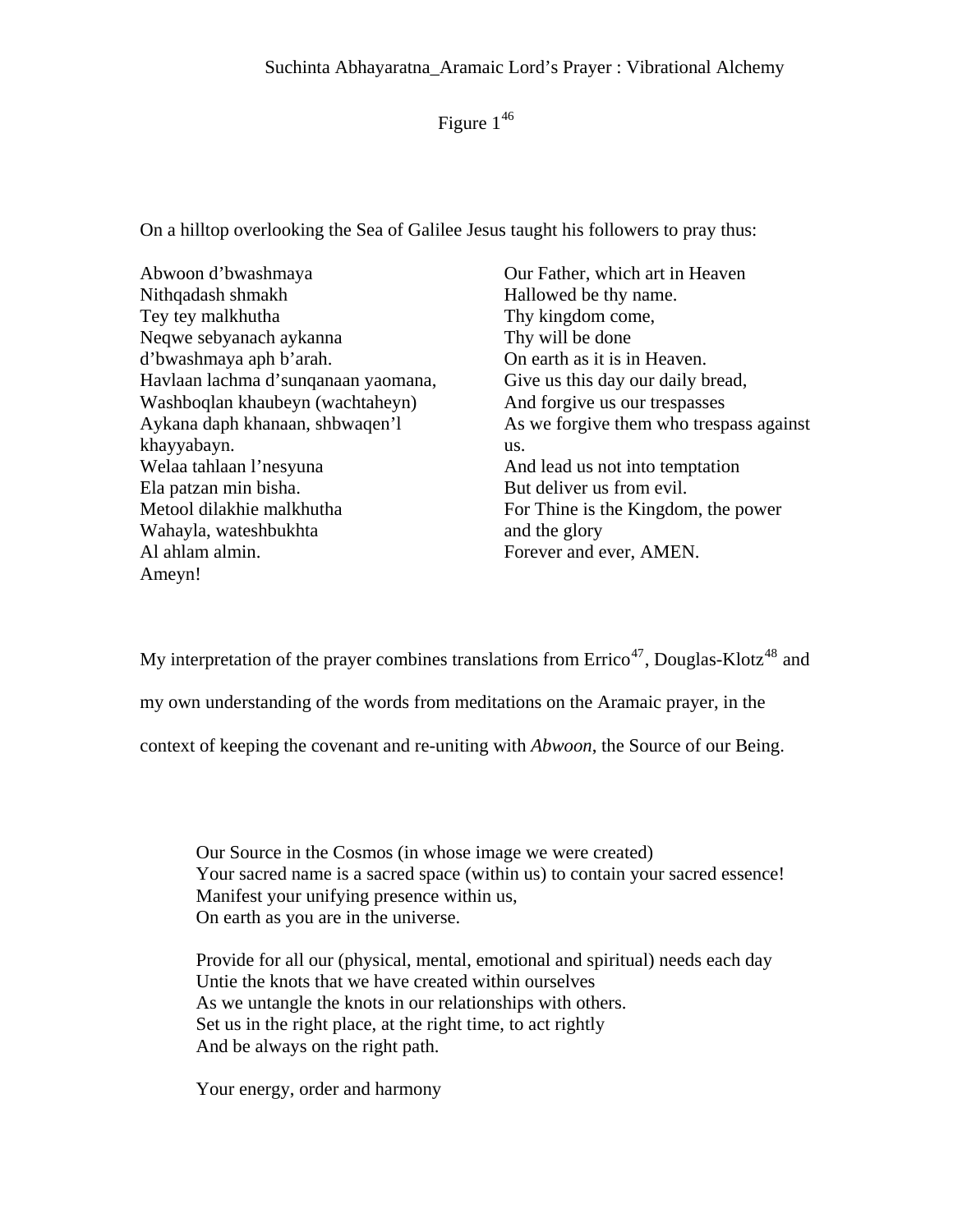Figure  $1^{46}$  $1^{46}$  $1^{46}$ 

On a hilltop overlooking the Sea of Galilee Jesus taught his followers to pray thus:

Abwoon d'bwashmaya Nithqadash shmakh Tey tey malkhutha Neqwe sebyanach aykanna d'bwashmaya aph b'arah. Havlaan lachma d'sunqanaan yaomana, Washboqlan khaubeyn (wachtaheyn) Aykana daph khanaan, shbwaqen'l khayyabayn. Welaa tahlaan l'nesyuna Ela patzan min bisha. Metool dilakhie malkhutha Wahayla, wateshbukhta Al ahlam almin. Ameyn!

Our Father, which art in Heaven Hallowed be thy name. Thy kingdom come, Thy will be done On earth as it is in Heaven. Give us this day our daily bread, And forgive us our trespasses As we forgive them who trespass against us. And lead us not into temptation But deliver us from evil. For Thine is the Kingdom, the power and the glory Forever and ever, AMEN.

My interpretation of the prayer combines translations from  $\text{Erico}^{47}$  $\text{Erico}^{47}$  $\text{Erico}^{47}$ , Douglas-Klotz<sup>[48](#page-26-1)</sup> and

my own understanding of the words from meditations on the Aramaic prayer, in the

context of keeping the covenant and re-uniting with *Abwoon*, the Source of our Being.

Our Source in the Cosmos (in whose image we were created) Your sacred name is a sacred space (within us) to contain your sacred essence! Manifest your unifying presence within us, On earth as you are in the universe.

Provide for all our (physical, mental, emotional and spiritual) needs each day Untie the knots that we have created within ourselves As we untangle the knots in our relationships with others. Set us in the right place, at the right time, to act rightly And be always on the right path.

Your energy, order and harmony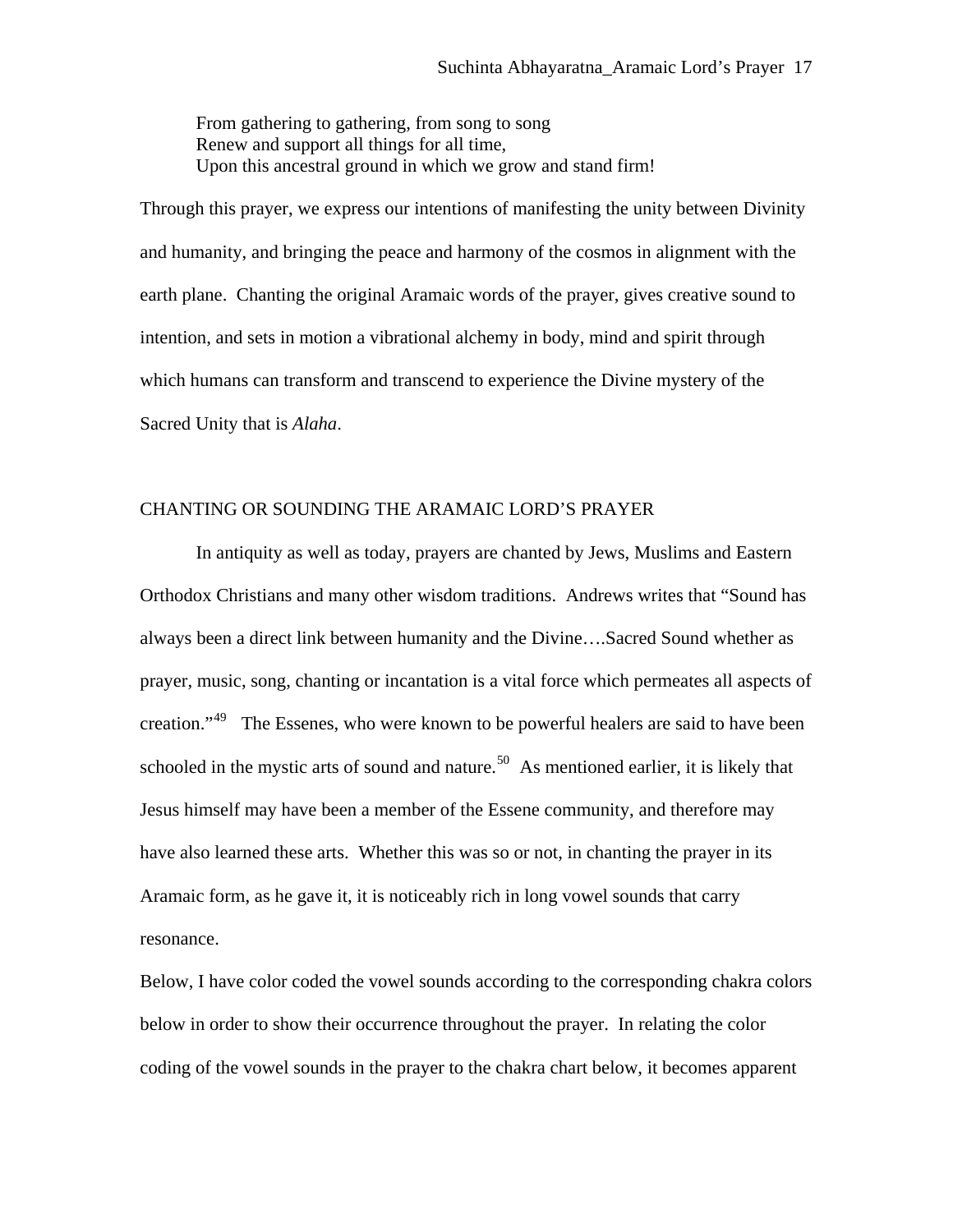From gathering to gathering, from song to song Renew and support all things for all time, Upon this ancestral ground in which we grow and stand firm!

Through this prayer, we express our intentions of manifesting the unity between Divinity and humanity, and bringing the peace and harmony of the cosmos in alignment with the earth plane. Chanting the original Aramaic words of the prayer, gives creative sound to intention, and sets in motion a vibrational alchemy in body, mind and spirit through which humans can transform and transcend to experience the Divine mystery of the Sacred Unity that is *Alaha*.

# CHANTING OR SOUNDING THE ARAMAIC LORD'S PRAYER

 In antiquity as well as today, prayers are chanted by Jews, Muslims and Eastern Orthodox Christians and many other wisdom traditions. Andrews writes that "Sound has always been a direct link between humanity and the Divine….Sacred Sound whether as prayer, music, song, chanting or incantation is a vital force which permeates all aspects of creation."<sup>[49](#page-27-0)</sup> The Essenes, who were known to be powerful healers are said to have been schooled in the mystic arts of sound and nature.<sup>[50](#page-27-0)</sup> As mentioned earlier, it is likely that Jesus himself may have been a member of the Essene community, and therefore may have also learned these arts. Whether this was so or not, in chanting the prayer in its Aramaic form, as he gave it, it is noticeably rich in long vowel sounds that carry resonance.

Below, I have color coded the vowel sounds according to the corresponding chakra colors below in order to show their occurrence throughout the prayer. In relating the color coding of the vowel sounds in the prayer to the chakra chart below, it becomes apparent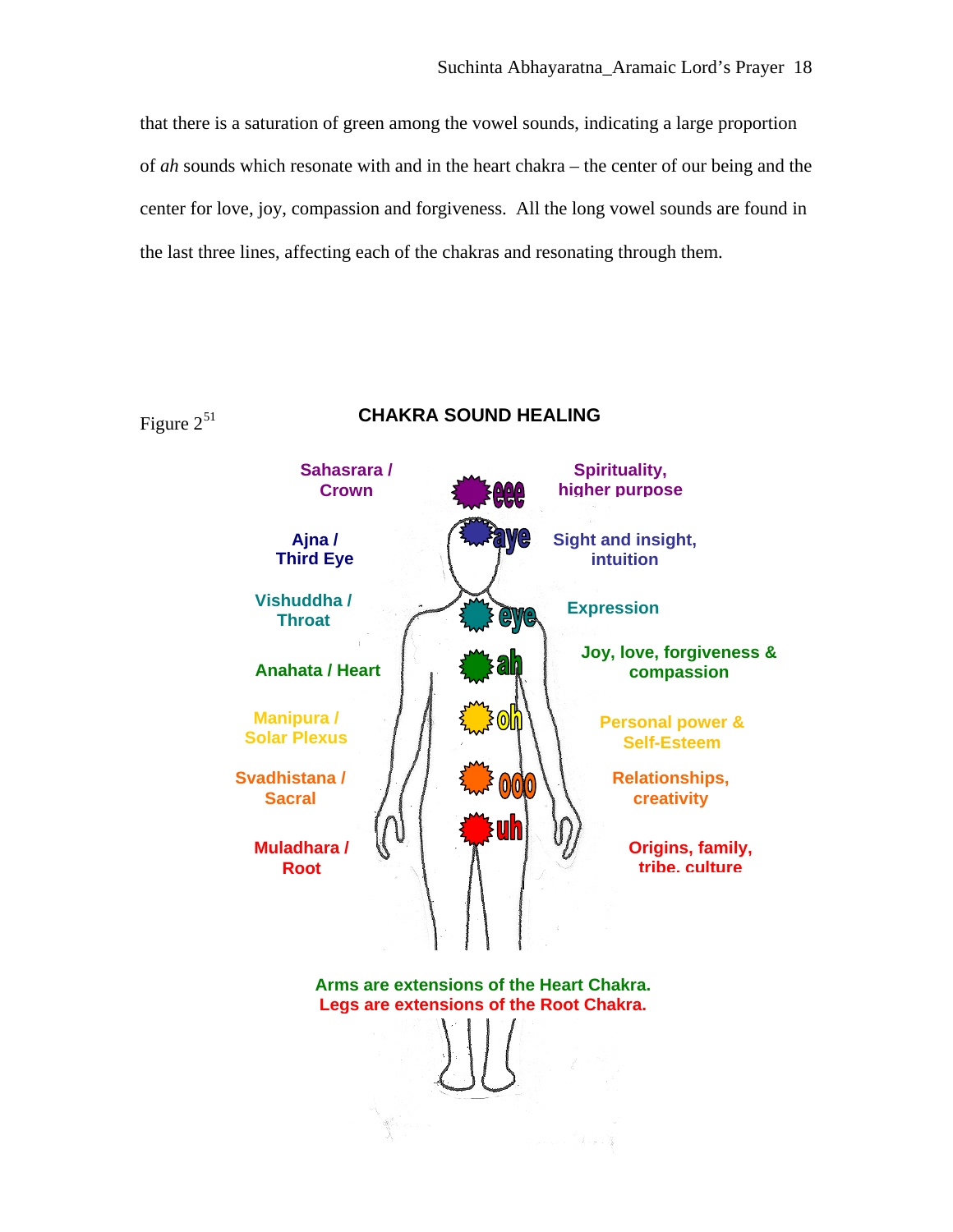that there is a saturation of green among the vowel sounds, indicating a large proportion of *ah* sounds which resonate with and in the heart chakra – the center of our being and the center for love, joy, compassion and forgiveness. All the long vowel sounds are found in the last three lines, affecting each of the chakras and resonating through them.

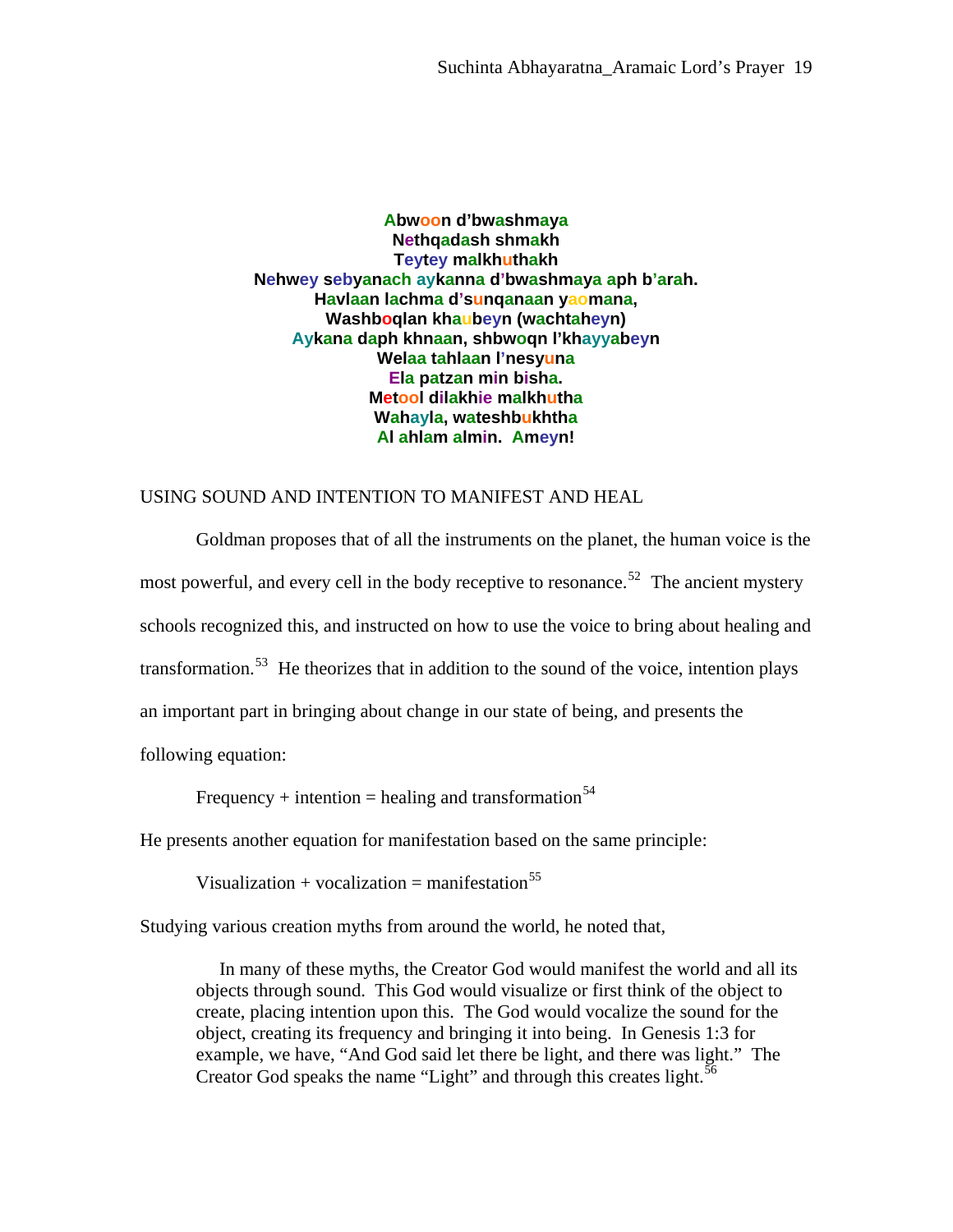**Abwoon d'bwashmaya Nethqadash shmakh Teytey malkhuthakh Nehwey sebyanach aykanna d'bwashmaya aph b'arah. Havlaan lachma d'sunqanaan yaomana, Washboqlan khaubeyn (wachtaheyn) Aykana daph khnaan, shbwoqn l'khayyabeyn Welaa tahlaan l'nesyuna Ela patzan min bisha. Metool dilakhie malkhutha Wahayla, wateshbukhtha Al ahlam almin. Ameyn!** 

## USING SOUND AND INTENTION TO MANIFEST AND HEAL

Goldman proposes that of all the instruments on the planet, the human voice is the most powerful, and every cell in the body receptive to resonance.<sup>[52](#page-27-0)</sup> The ancient mystery schools recognized this, and instructed on how to use the voice to bring about healing and transformation.<sup>[53](#page-27-0)</sup> He theorizes that in addition to the sound of the voice, intention plays an important part in bringing about change in our state of being, and presents the following equation:

Frequency + intention = healing and transformation<sup>[54](#page-27-0)</sup>

He presents another equation for manifestation based on the same principle:

Visualization + vocalization = manifestation<sup>[55](#page-27-0)</sup>

Studying various creation myths from around the world, he noted that,

 In many of these myths, the Creator God would manifest the world and all its objects through sound. This God would visualize or first think of the object to create, placing intention upon this. The God would vocalize the sound for the object, creating its frequency and bringing it into being. In Genesis 1:3 for example, we have, "And God said let there be light, and there was light." The Creator God speaks the name "Light" and through this creates light. $56$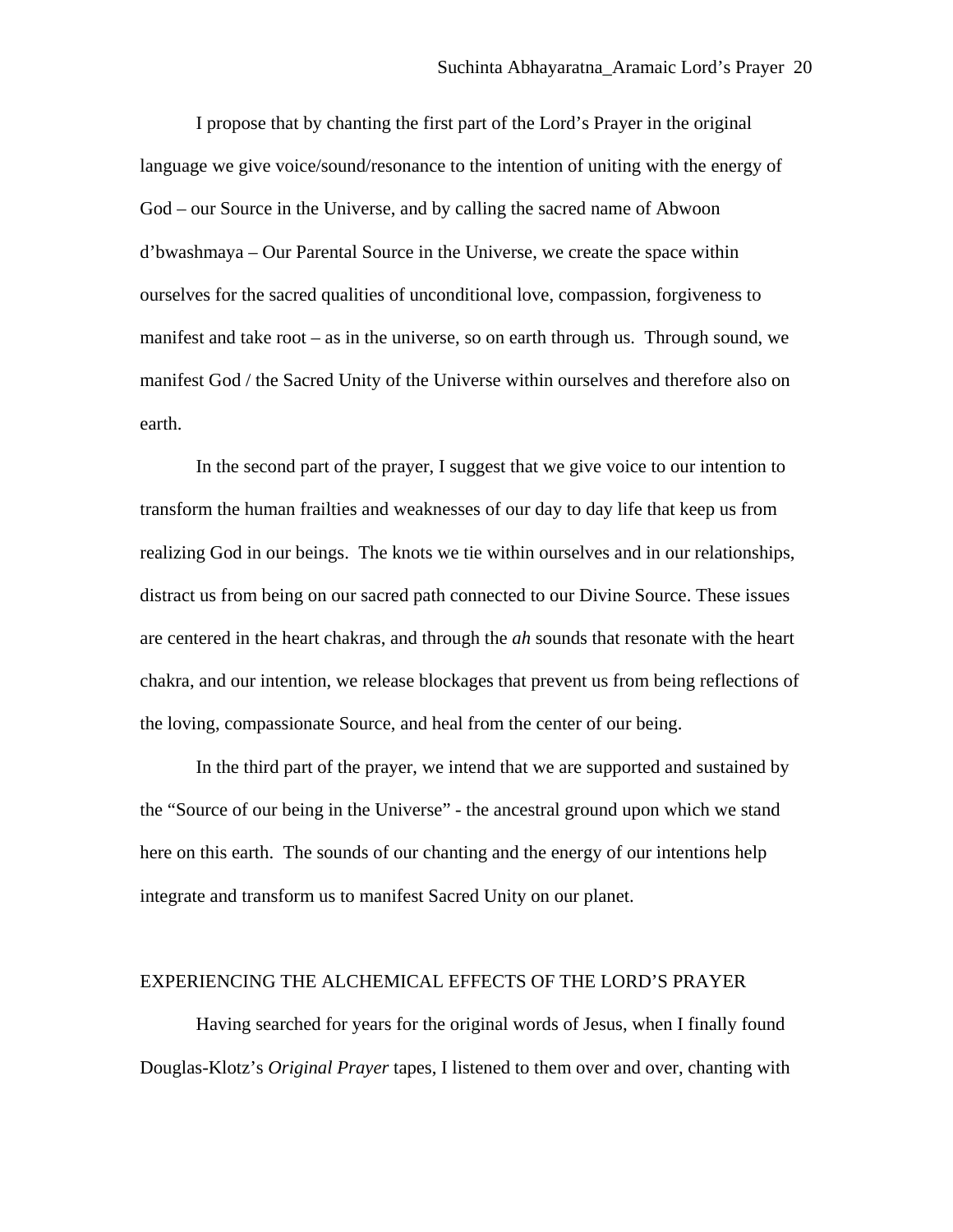I propose that by chanting the first part of the Lord's Prayer in the original language we give voice/sound/resonance to the intention of uniting with the energy of God – our Source in the Universe, and by calling the sacred name of Abwoon d'bwashmaya – Our Parental Source in the Universe, we create the space within ourselves for the sacred qualities of unconditional love, compassion, forgiveness to manifest and take root – as in the universe, so on earth through us. Through sound, we manifest God / the Sacred Unity of the Universe within ourselves and therefore also on earth.

In the second part of the prayer, I suggest that we give voice to our intention to transform the human frailties and weaknesses of our day to day life that keep us from realizing God in our beings. The knots we tie within ourselves and in our relationships, distract us from being on our sacred path connected to our Divine Source. These issues are centered in the heart chakras, and through the *ah* sounds that resonate with the heart chakra, and our intention, we release blockages that prevent us from being reflections of the loving, compassionate Source, and heal from the center of our being.

In the third part of the prayer, we intend that we are supported and sustained by the "Source of our being in the Universe" - the ancestral ground upon which we stand here on this earth. The sounds of our chanting and the energy of our intentions help integrate and transform us to manifest Sacred Unity on our planet.

## EXPERIENCING THE ALCHEMICAL EFFECTS OF THE LORD'S PRAYER

Having searched for years for the original words of Jesus, when I finally found Douglas-Klotz's *Original Prayer* tapes, I listened to them over and over, chanting with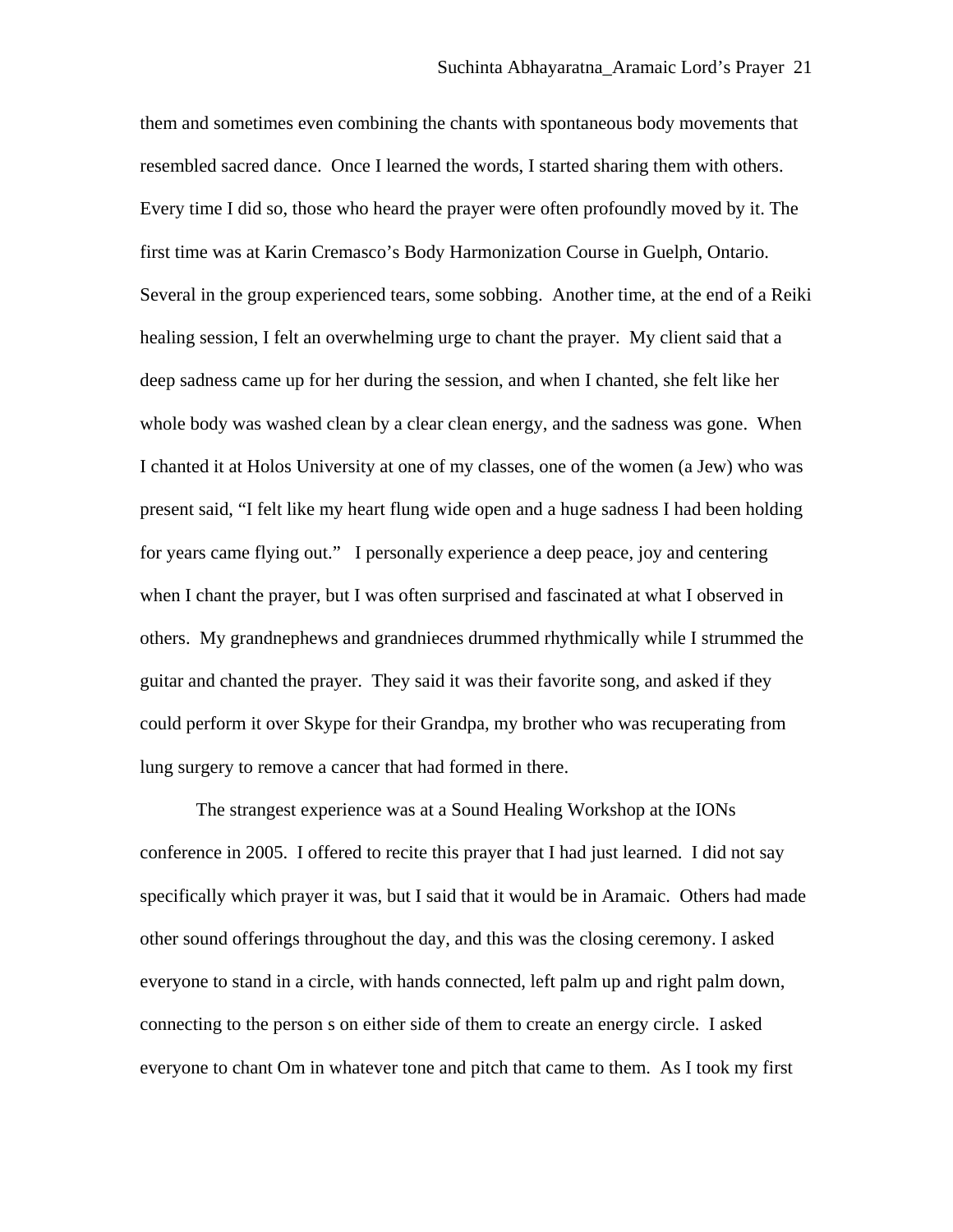them and sometimes even combining the chants with spontaneous body movements that resembled sacred dance. Once I learned the words, I started sharing them with others. Every time I did so, those who heard the prayer were often profoundly moved by it. The first time was at Karin Cremasco's Body Harmonization Course in Guelph, Ontario. Several in the group experienced tears, some sobbing. Another time, at the end of a Reiki healing session, I felt an overwhelming urge to chant the prayer. My client said that a deep sadness came up for her during the session, and when I chanted, she felt like her whole body was washed clean by a clear clean energy, and the sadness was gone. When I chanted it at Holos University at one of my classes, one of the women (a Jew) who was present said, "I felt like my heart flung wide open and a huge sadness I had been holding for years came flying out." I personally experience a deep peace, joy and centering when I chant the prayer, but I was often surprised and fascinated at what I observed in others. My grandnephews and grandnieces drummed rhythmically while I strummed the guitar and chanted the prayer. They said it was their favorite song, and asked if they could perform it over Skype for their Grandpa, my brother who was recuperating from lung surgery to remove a cancer that had formed in there.

The strangest experience was at a Sound Healing Workshop at the IONs conference in 2005. I offered to recite this prayer that I had just learned. I did not say specifically which prayer it was, but I said that it would be in Aramaic. Others had made other sound offerings throughout the day, and this was the closing ceremony. I asked everyone to stand in a circle, with hands connected, left palm up and right palm down, connecting to the person s on either side of them to create an energy circle. I asked everyone to chant Om in whatever tone and pitch that came to them. As I took my first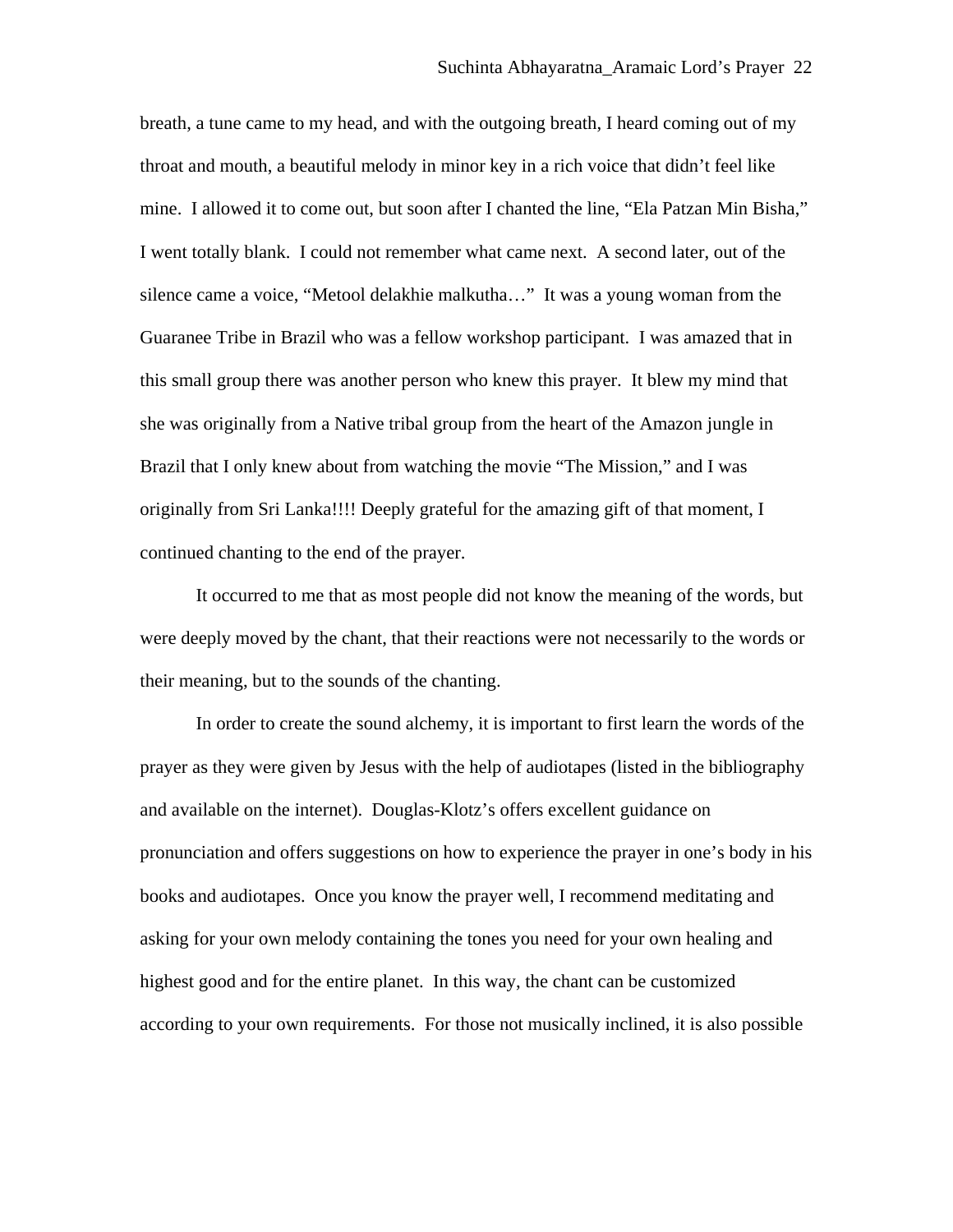breath, a tune came to my head, and with the outgoing breath, I heard coming out of my throat and mouth, a beautiful melody in minor key in a rich voice that didn't feel like mine. I allowed it to come out, but soon after I chanted the line, "Ela Patzan Min Bisha," I went totally blank. I could not remember what came next. A second later, out of the silence came a voice, "Metool delakhie malkutha…" It was a young woman from the Guaranee Tribe in Brazil who was a fellow workshop participant. I was amazed that in this small group there was another person who knew this prayer. It blew my mind that she was originally from a Native tribal group from the heart of the Amazon jungle in Brazil that I only knew about from watching the movie "The Mission," and I was originally from Sri Lanka!!!! Deeply grateful for the amazing gift of that moment, I continued chanting to the end of the prayer.

It occurred to me that as most people did not know the meaning of the words, but were deeply moved by the chant, that their reactions were not necessarily to the words or their meaning, but to the sounds of the chanting.

In order to create the sound alchemy, it is important to first learn the words of the prayer as they were given by Jesus with the help of audiotapes (listed in the bibliography and available on the internet). Douglas-Klotz's offers excellent guidance on pronunciation and offers suggestions on how to experience the prayer in one's body in his books and audiotapes. Once you know the prayer well, I recommend meditating and asking for your own melody containing the tones you need for your own healing and highest good and for the entire planet. In this way, the chant can be customized according to your own requirements. For those not musically inclined, it is also possible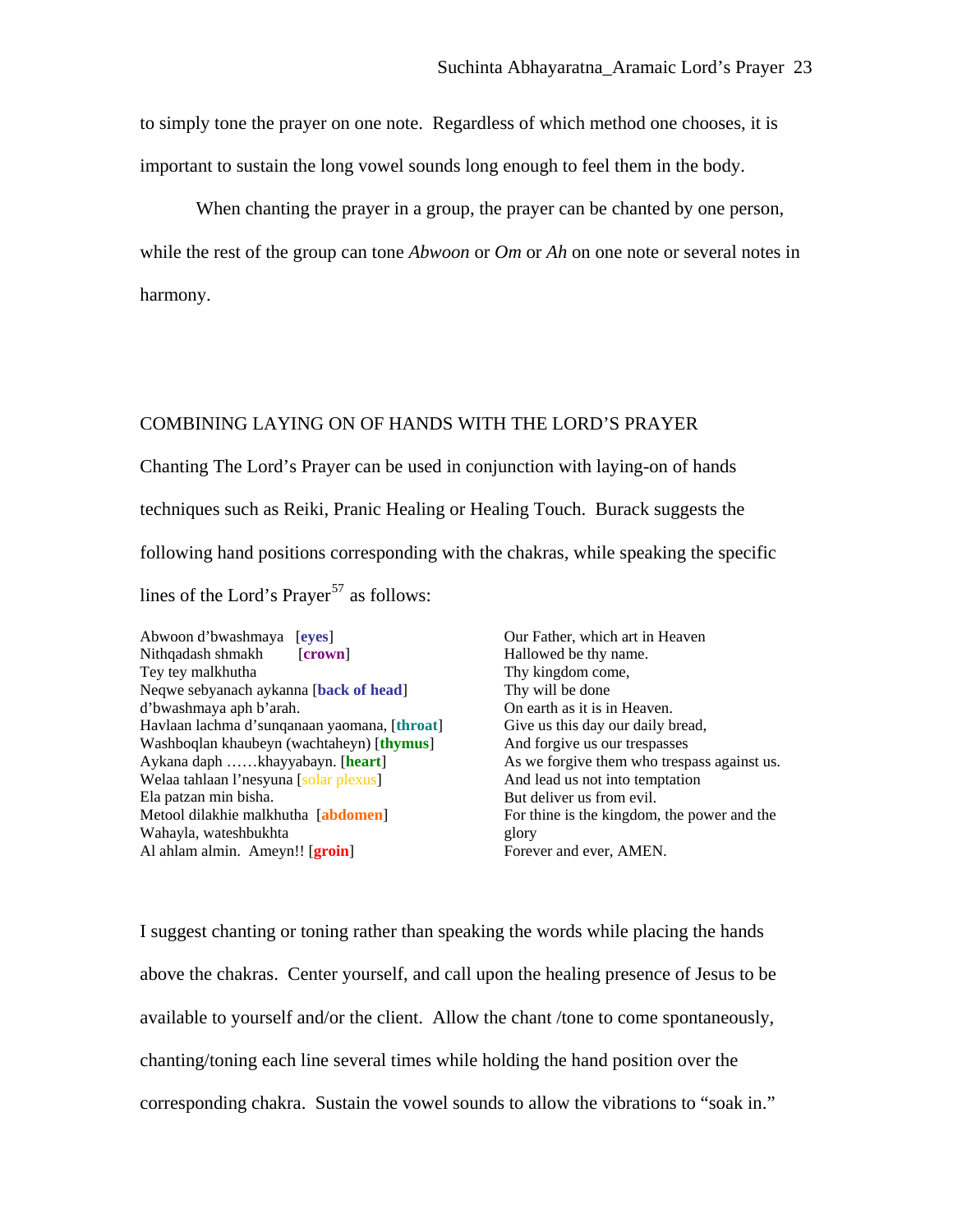to simply tone the prayer on one note. Regardless of which method one chooses, it is important to sustain the long vowel sounds long enough to feel them in the body.

When chanting the prayer in a group, the prayer can be chanted by one person, while the rest of the group can tone *Abwoon* or *Om* or *Ah* on one note or several notes in harmony.

# COMBINING LAYING ON OF HANDS WITH THE LORD'S PRAYER

Chanting The Lord's Prayer can be used in conjunction with laying-on of hands techniques such as Reiki, Pranic Healing or Healing Touch. Burack suggests the following hand positions corresponding with the chakras, while speaking the specific lines of the Lord's Prayer<sup>[57](#page-27-0)</sup> as follows:

Abwoon d'bwashmaya [**eyes**] Nithqadash shmakh [**crown**] Tey tey malkhutha Neqwe sebyanach aykanna [**back of head**] d'bwashmaya aph b'arah. Havlaan lachma d'sunqanaan yaomana, [**throat**] Washboqlan khaubeyn (wachtaheyn) [**thymus**] Aykana daph ……khayyabayn. [**heart**] Welaa tahlaan l'nesyuna [solar plexus] Ela patzan min bisha. Metool dilakhie malkhutha [**abdomen**] Wahayla, wateshbukhta Al ahlam almin. Ameyn!! [**groin**]

Our Father, which art in Heaven Hallowed be thy name. Thy kingdom come, Thy will be done On earth as it is in Heaven. Give us this day our daily bread, And forgive us our trespasses As we forgive them who trespass against us. And lead us not into temptation But deliver us from evil. For thine is the kingdom, the power and the glory Forever and ever, AMEN.

I suggest chanting or toning rather than speaking the words while placing the hands above the chakras. Center yourself, and call upon the healing presence of Jesus to be available to yourself and/or the client. Allow the chant /tone to come spontaneously, chanting/toning each line several times while holding the hand position over the corresponding chakra. Sustain the vowel sounds to allow the vibrations to "soak in."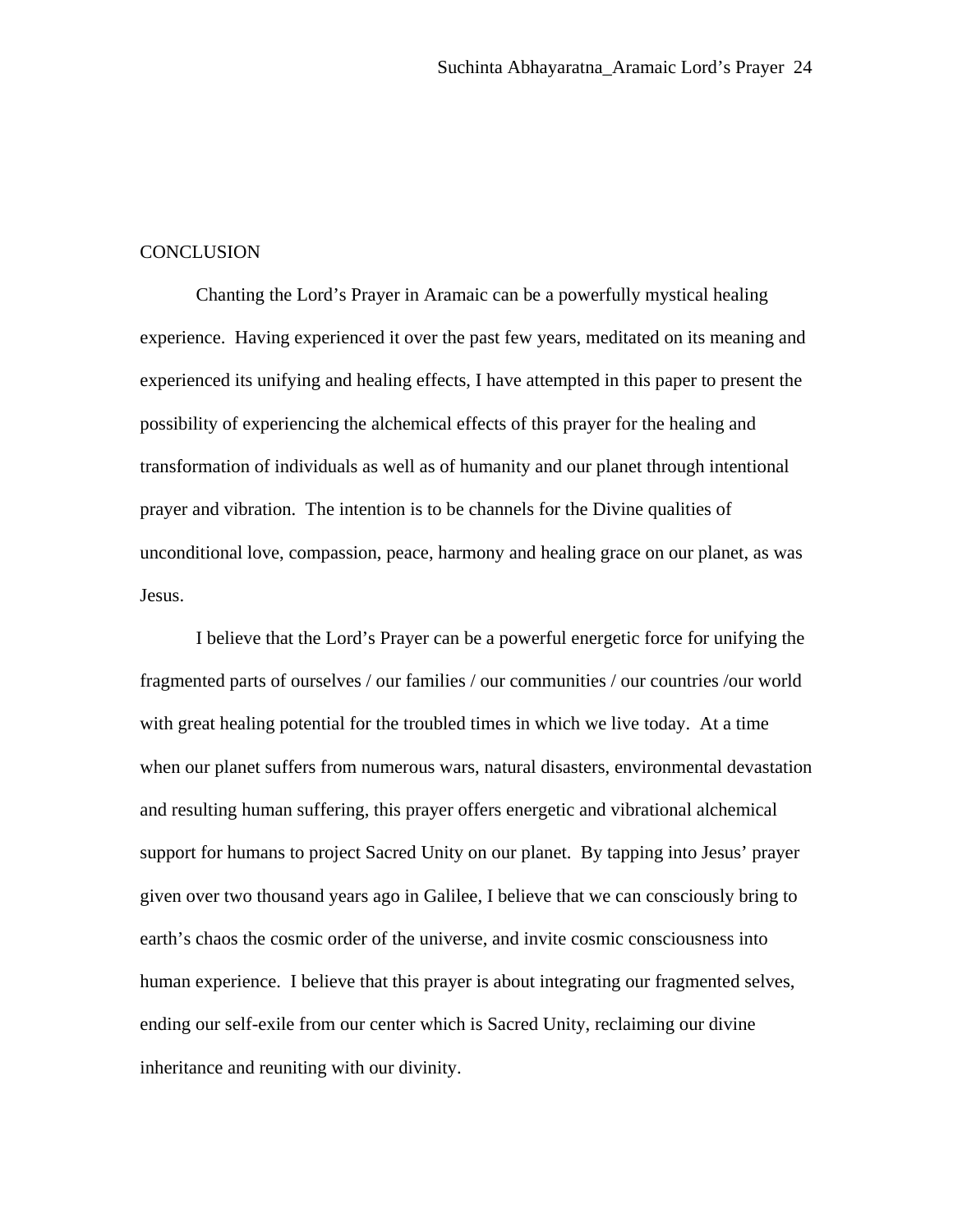#### CONCLUSION

Chanting the Lord's Prayer in Aramaic can be a powerfully mystical healing experience. Having experienced it over the past few years, meditated on its meaning and experienced its unifying and healing effects, I have attempted in this paper to present the possibility of experiencing the alchemical effects of this prayer for the healing and transformation of individuals as well as of humanity and our planet through intentional prayer and vibration. The intention is to be channels for the Divine qualities of unconditional love, compassion, peace, harmony and healing grace on our planet, as was Jesus.

I believe that the Lord's Prayer can be a powerful energetic force for unifying the fragmented parts of ourselves / our families / our communities / our countries /our world with great healing potential for the troubled times in which we live today. At a time when our planet suffers from numerous wars, natural disasters, environmental devastation and resulting human suffering, this prayer offers energetic and vibrational alchemical support for humans to project Sacred Unity on our planet. By tapping into Jesus' prayer given over two thousand years ago in Galilee, I believe that we can consciously bring to earth's chaos the cosmic order of the universe, and invite cosmic consciousness into human experience. I believe that this prayer is about integrating our fragmented selves, ending our self-exile from our center which is Sacred Unity, reclaiming our divine inheritance and reuniting with our divinity.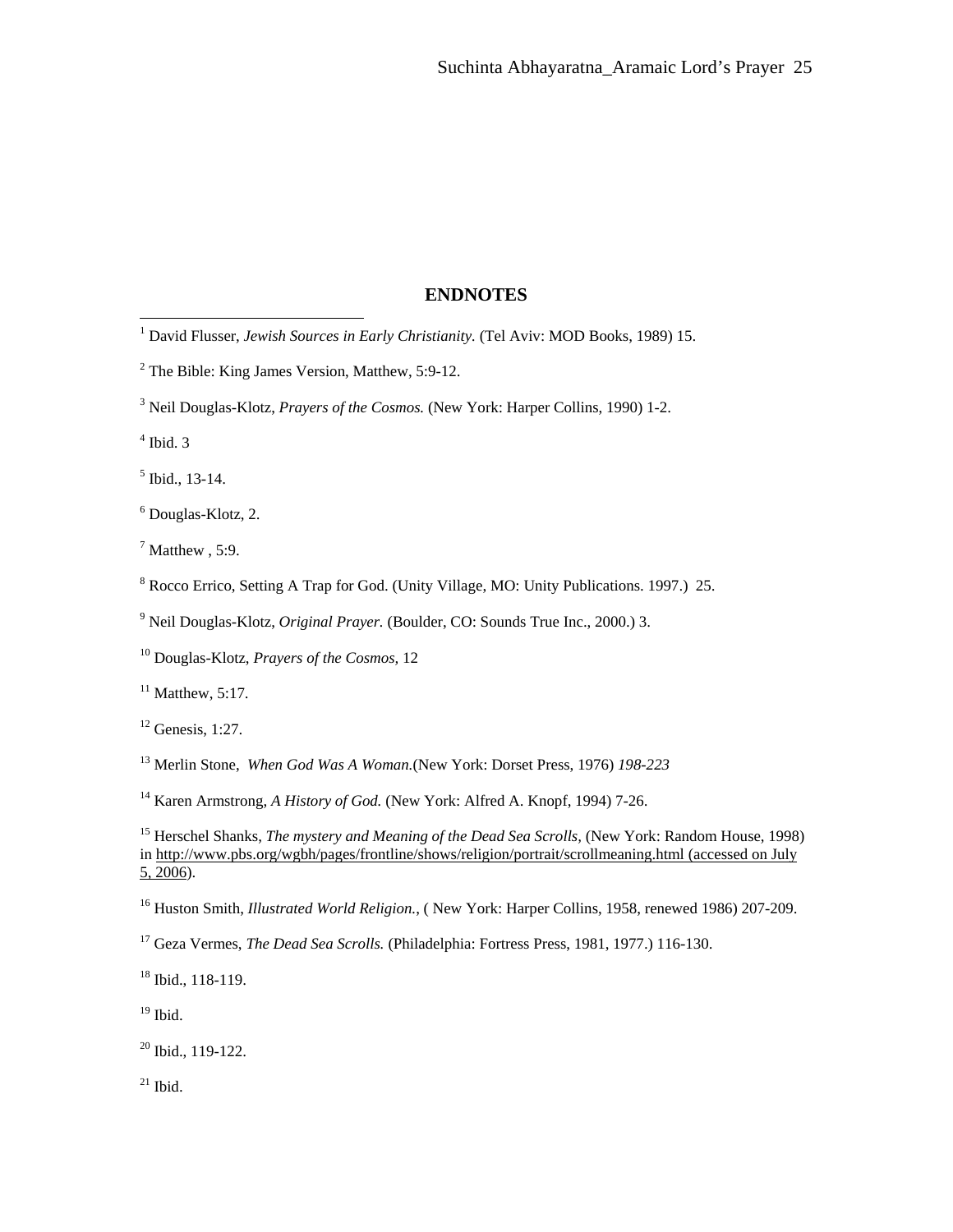## **ENDNOTES**

4 Ibid. 3

 $<sup>5</sup>$  Ibid., 13-14.</sup>

6 Douglas-Klotz, 2.

 $<sup>7</sup>$  Matthew, 5:9.</sup>

<sup>8</sup> Rocco Errico, Setting A Trap for God. (Unity Village, MO: Unity Publications. 1997.) 25.

9 Neil Douglas-Klotz, *Original Prayer.* (Boulder, CO: Sounds True Inc., 2000.) 3.

10 Douglas-Klotz, *Prayers of the Cosmos,* 12

 $11$  Matthew, 5:17.

 $12$  Genesis, 1:27.

13 Merlin Stone, *When God Was A Woman.*(New York: Dorset Press, 1976) *198-223*

<sup>14</sup> Karen Armstrong, *A History of God.* (New York: Alfred A. Knopf, 1994) 7-26.

16 Huston Smith, *Illustrated World Religion.*, ( New York: Harper Collins, 1958, renewed 1986) 207-209.

17 Geza Vermes, *The Dead Sea Scrolls.* (Philadelphia: Fortress Press, 1981, 1977.) 116-130.

18 Ibid., 118-119.

 $19$  Ibid.

 $20$  Ibid., 119-122.

 $21$  Ibid.

<span id="page-25-1"></span> 1 David Flusser, *Jewish Sources in Early Christianity.* (Tel Aviv: MOD Books, 1989) 15.

<span id="page-25-0"></span> $2^{2}$  The Bible: King James Version, Matthew, 5:9-12.

<sup>&</sup>lt;sup>3</sup> Neil Douglas-Klotz, *Prayers of the Cosmos*. (New York: Harper Collins, 1990) 1-2.

<sup>15</sup> Herschel Shanks, *The mystery and Meaning of the Dead Sea Scrolls,* (New York: Random House, 1998) in [http://www.pbs.org/wgbh/pages/frontline/shows/religion/portrait/scrollmeaning.html \(accessed on July](http://www.pbs.org/wgbh/pages/frontline/shows/religion/portrait/scrollmeaning.html%20(accessed%20on%20July%205,%202006)   $5, 2006$ ).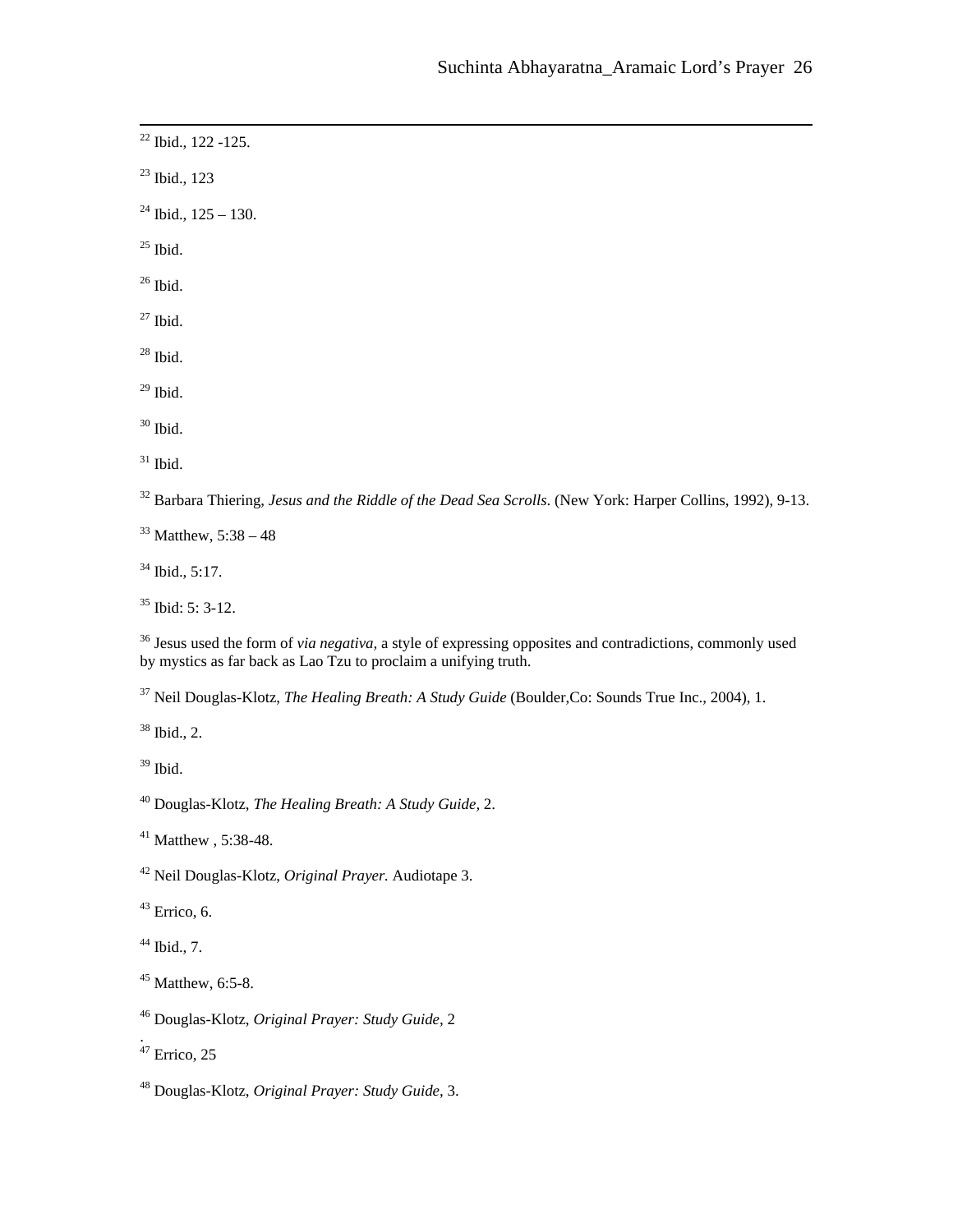<span id="page-26-0"></span>22 Ibid., 122 -125.

23 Ibid., 123

 $24$  Ibid.,  $125 - 130$ .

 $25$  Ibid.

 $26$  Ibid.

 $27$  Ibid.

 $28$  Ibid.

 $29$  Ibid.

 $30$  Ibid.

 $31$  Ibid.

32 Barbara Thiering, *Jesus and the Riddle of the Dead Sea Scrolls*. (New York: Harper Collins, 1992), 9-13.

 $33$  Matthew,  $5:38 - 48$ 

34 Ibid., 5:17.

<span id="page-26-1"></span> $35$  Ibid: 5: 3-12.

36 Jesus used the form of *via negativa,* a style of expressing opposites and contradictions, commonly used by mystics as far back as Lao Tzu to proclaim a unifying truth.

37 Neil Douglas-Klotz, *The Healing Breath: A Study Guide* (Boulder,Co: Sounds True Inc., 2004), 1.

 $38$  Ibid., 2.

 $39$  Ibid.

40 Douglas-Klotz, *The Healing Breath: A Study Guide,* 2.

41 Matthew , 5:38-48.

42 Neil Douglas-Klotz, *Original Prayer.* Audiotape 3.

 $43$  Errico, 6.

 $44$  Ibid., 7.

45 Matthew, 6:5-8.

46 Douglas-Klotz, *Original Prayer: Study Guide,* 2

 $47$  Errico, 25

.

48 Douglas-Klotz, *Original Prayer: Study Guide,* 3.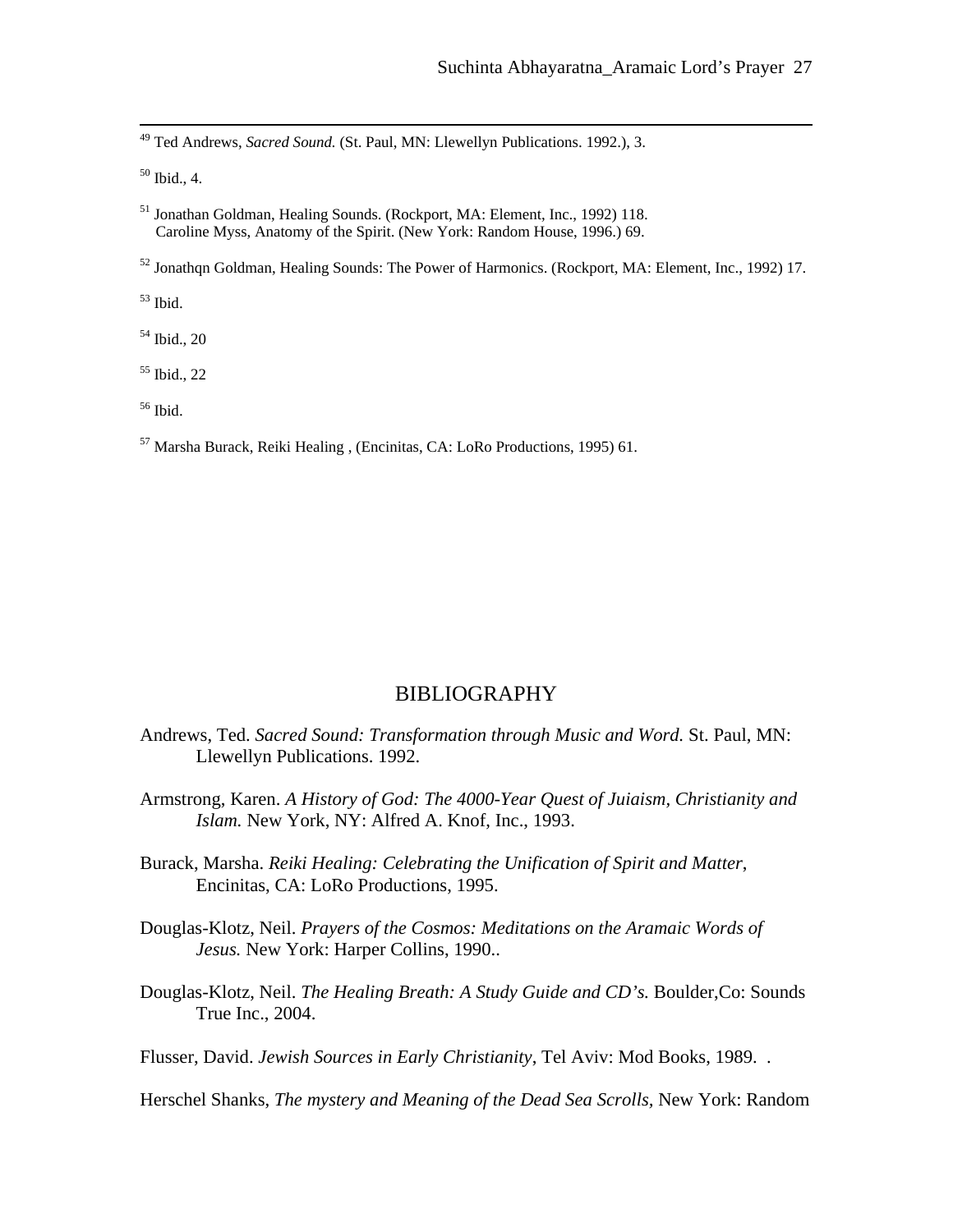49 Ted Andrews, *Sacred Sound.* (St. Paul, MN: Llewellyn Publications. 1992.), 3.

50 Ibid., 4.

51 Jonathan Goldman, Healing Sounds. (Rockport, MA: Element, Inc., 1992) 118. Caroline Myss, Anatomy of the Spirit. (New York: Random House, 1996.) 69.

<sup>52</sup> Jonathan Goldman, Healing Sounds: The Power of Harmonics. (Rockport, MA: Element, Inc., 1992) 17.

53 Ibid.

54 Ibid., 20

55 Ibid., 22

56 Ibid.

57 Marsha Burack, Reiki Healing , (Encinitas, CA: LoRo Productions, 1995) 61.

# BIBLIOGRAPHY

- <span id="page-27-0"></span>Andrews, Ted. *Sacred Sound: Transformation through Music and Word.* St. Paul, MN: Llewellyn Publications. 1992.
- Armstrong, Karen. *A History of God: The 4000-Year Quest of Juiaism, Christianity and Islam.* New York, NY: Alfred A. Knof, Inc., 1993.
- Burack, Marsha. *Reiki Healing: Celebrating the Unification of Spirit and Matter*, Encinitas, CA: LoRo Productions, 1995.
- Douglas-Klotz, Neil. *Prayers of the Cosmos: Meditations on the Aramaic Words of Jesus.* New York: Harper Collins, 1990..
- Douglas-Klotz, Neil. *The Healing Breath: A Study Guide and CD's.* Boulder,Co: Sounds True Inc., 2004.

Flusser, David. *Jewish Sources in Early Christianity*, Tel Aviv: Mod Books, 1989. .

Herschel Shanks, *The mystery and Meaning of the Dead Sea Scrolls,* New York: Random